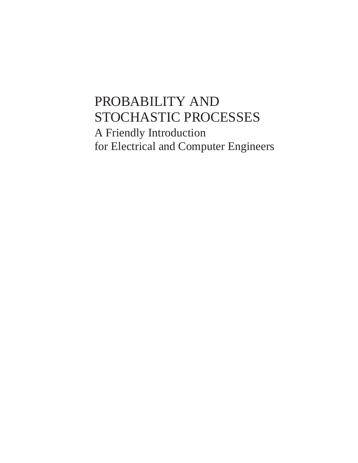# PROBABILITY AND STOCHASTIC PROCESSES A Friendly Introduction for Electrical and Computer Engineers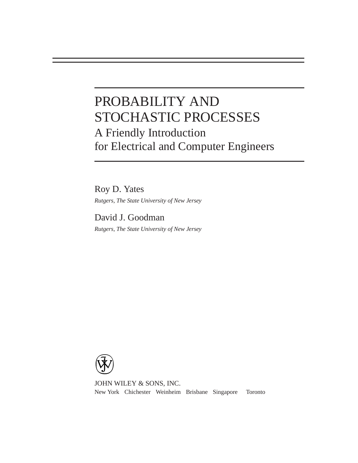# PROBABILITY AND STOCHASTIC PROCESSES A Friendly Introduction for Electrical and Computer Engineers

Roy D. Yates *Rutgers, The State University of New Jersey*

David J. Goodman *Rutgers, The State University of New Jersey*



JOHN WILEY & SONS, INC. New York Chichester Weinheim Brisbane Singapore Toronto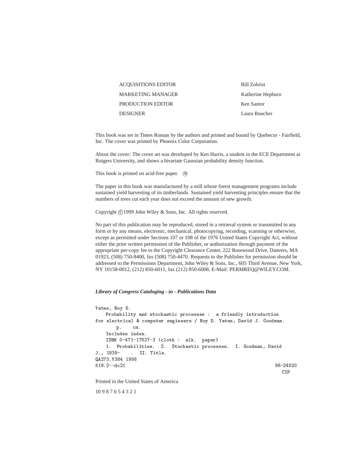| <b>ACQUISITIONS EDITOR</b> | Bill Zobrist      |
|----------------------------|-------------------|
| <b>MARKETING MANAGER</b>   | Katherine Hepburn |
| PRODUCTION EDITOR          | Ken Santor        |
| <b>DESIGNER</b>            | Laura Boucher     |

This book was set in Times Roman by the authors and printed and bound by Quebecor - Fairfield, Inc. The cover was printed by Phoenix Color Corporation.

About the cover: The cover art was developed by Ken Harris, a student in the ECE Department at Rutgers University, and shows a bivariate Gaussian probability density function.

This book is printed on acid-free paper.  $\otimes$ 

The paper in this book was manufactured by a mill whose forest management programs include sustained yield harvesting of its timberlands. Sustained yield harvesting principles ensure that the numbers of trees cut each year does not exceed the amount of new growth.

Copyright © 1999 John Wiley & Sons, Inc. All rights reserved.

No part of this publication may be reproduced, stored in a retrieval system or transmitted in any form or by any means, electronic, mechanical, photocopying, recording, scanning or otherwise, except as permitted under Sections 107 or 108 of the 1976 United States Copyright Act, without either the prior written permission of the Publisher, or authorization through payment of the appropriate per-copy fee to the Copyright Clearance Center, 222 Rosewood Drive, Danvers, MA 01923, (508) 750-8400, fax (508) 750-4470. Requests to the Publisher for permission should be addressed to the Permissions Department, John Wiley & Sons, Inc., 605 Third Avenue, New York, NY 10158-0012, (212) 850-6011, fax (212) 850-6008, E-Mail: PERMREQ@WILEY.COM.

*Library of Congress Cataloging - in - Publications Data*

```
Yates, Roy D.
     Probability and stochastic processes -
 a friendly introduction
for electrical & computer engineers / Roy D. Yates, David J. Goodman.
          p.
                   cm.
     Includes index
     and a cloth of the contract of the contract of the contract of the contract of the contract of the contract of
     1. Probabilities. 2. Stochastic processes. I. Goodman, David
J., 1939- . II. Title.
QAY AND REPORT OF THE CONTRACT OF THE CONTRACT OF THE CONTRACT OF THE CONTRACT OF THE CONTRACT OF THE CONTRACT
                                                                                                 CIP
```
Printed in the United States of America

10 9 8 7 6 5 4 3 2 1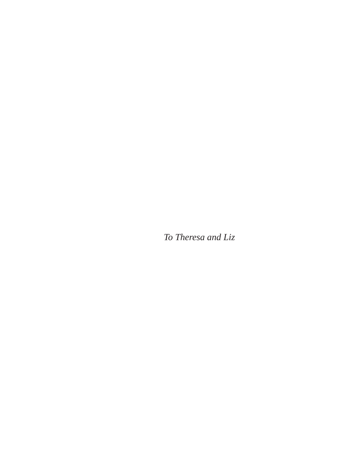*To Theresa and Liz*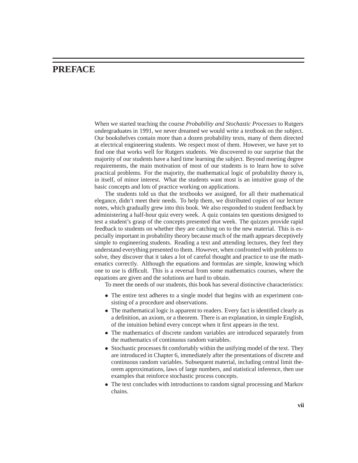## **PREFACE**

When we started teaching the course *Probability and Stochastic Processes* to Rutgers undergraduates in 1991, we never dreamed we would write a textbook on the subject. Our bookshelves contain more than a dozen probability texts, many of them directed at electrical engineering students. We respect most of them. However, we have yet to find one that works well for Rutgers students. We discovered to our surprise that the majority of our students have a hard time learning the subject. Beyond meeting degree requirements, the main motivation of most of our students is to learn how to solve practical problems. For the majority, the mathematical logic of probability theory is, in itself, of minor interest. What the students want most is an intuitive grasp of the basic concepts and lots of practice working on applications.

The students told us that the textbooks we assigned, for all their mathematical elegance, didn't meet their needs. To help them, we distributed copies of our lecture notes, which gradually grew into this book. We also responded to student feedback by administering a half-hour quiz every week. A quiz contains ten questions designed to test a student's grasp of the concepts presented that week. The quizzes provide rapid feedback to students on whether they are catching on to the new material. This is especially important in probability theory because much of the math appears deceptively simple to engineering students. Reading a text and attending lectures, they feel they understand everything presented to them. However, when confronted with problems to solve, they discover that it takes a lot of careful thought and practice to use the mathematics correctly. Although the equations and formulas are simple, knowing which one to use is difficult. This is a reversal from some mathematics courses, where the equations are given and the solutions are hard to obtain.

To meet the needs of our students, this book has several distinctive characteristics:

- The entire text adheres to a single model that begins with an experiment consisting of a procedure and observations.
- The mathematical logic is apparent to readers. Every fact is identified clearly as a definition, an axiom, or a theorem. There is an explanation, in simple English, of the intuition behind every concept when it first appears in the text.
- The mathematics of discrete random variables are introduced separately from the mathematics of continuous random variables.
- Stochastic processes fit comfortably within the unifying model of the text. They are introduced in Chapter 6, immediately after the presentations of discrete and continuous random variables. Subsequent material, including central limit theorem approximations, laws of large numbers, and statistical inference, then use examples that reinforce stochastic process concepts.
- The text concludes with introductions to random signal processing and Markov chains.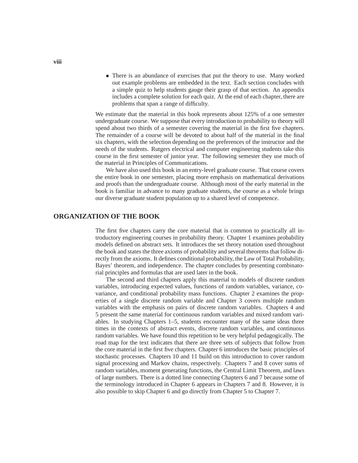There is an abundance of exercises that put the theory to use. Many worked out example problems are embedded in the text. Each section concludes with a simple quiz to help students gauge their grasp of that section. An appendix includes a complete solution for each quiz. At the end of each chapter, there are problems that span a range of difficulty.

We estimate that the material in this book represents about 125% of a one semester undergraduate course. We suppose that every introduction to probability to theory will spend about two thirds of a semester covering the material in the first five chapters. The remainder of a course will be devoted to about half of the material in the final six chapters, with the selection depending on the preferences of the instructor and the needs of the students. Rutgers electrical and computer engineering students take this course in the first semester of junior year. The following semester they use much of the material in Principles of Communications.

We have also used this book in an entry-level graduate course. That course covers the entire book in one semester, placing more emphasis on mathematical derivations and proofs than the undergraduate course. Although most of the early material in the book is familiar in advance to many graduate students, the course as a whole brings our diverse graduate student population up to a shared level of competence.

## **ORGANIZATION OF THE BOOK**

The first five chapters carry the core material that is common to practically all introductory engineering courses in probability theory. Chapter 1 examines probability models defined on abstract sets. It introduces the set theory notation used throughout the book and states the three axioms of probability and several theorems that follow directly from the axioms. It defines conditional probability, the Law of Total Probability, Bayes' theorem, and independence. The chapter concludes by presenting combinatorial principles and formulas that are used later in the book.

The second and third chapters apply this material to models of discrete random variables, introducing expected values, functions of random variables, variance, covariance, and conditional probability mass functions. Chapter 2 examines the properties of a single discrete random variable and Chapter 3 covers multiple random variables with the emphasis on pairs of discrete random variables. Chapters 4 and 5 present the same material for continuous random variables and mixed random variables. In studying Chapters 1–5, students encounter many of the same ideas three times in the contexts of abstract events, discrete random variables, and continuous random variables. We have found this repetition to be very helpful pedagogically. The road map for the text indicates that there are three sets of subjects that follow from the core material in the first five chapters. Chapter 6 introduces the basic principles of stochastic processes. Chapters 10 and 11 build on this introduction to cover random signal processing and Markov chains, respectively. Chapters 7 and 8 cover sums of random variables, moment generating functions, the Central Limit Theorem, and laws of large numbers. There is a dotted line connecting Chapters 6 and 7 because some of the terminology introduced in Chapter 6 appears in Chapters 7 and 8. However, it is also possible to skip Chapter 6 and go directly from Chapter 5 to Chapter 7.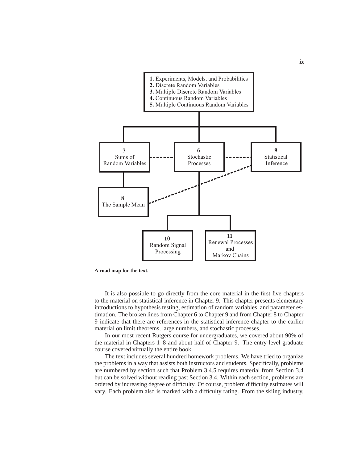

**A road map for the text.**

It is also possible to go directly from the core material in the first five chapters to the material on statistical inference in Chapter 9. This chapter presents elementary introductions to hypothesis testing, estimation of random variables, and parameter estimation. The broken lines from Chapter 6 to Chapter 9 and from Chapter 8 to Chapter 9 indicate that there are references in the statistical inference chapter to the earlier material on limit theorems, large numbers, and stochastic processes.

In our most recent Rutgers course for undergraduates, we covered about 90% of the material in Chapters 1–8 and about half of Chapter 9. The entry-level graduate course covered virtually the entire book.

The text includes several hundred homework problems. We have tried to organize the problems in a way that assists both instructors and students. Specifically, problems are numbered by section such that Problem 3.4.5 requires material from Section 3.4 but can be solved without reading past Section 3.4. Within each section, problems are ordered by increasing degree of difficulty. Of course, problem difficulty estimates will vary. Each problem also is marked with a difficulty rating. From the skiing industry,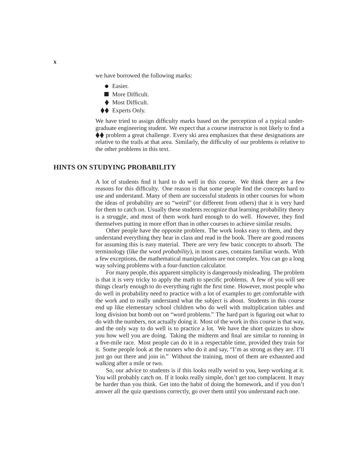we have borrowed the following marks:

- **Easier.**
- **More Difficult.**
- ◆ Most Difficult.
- ◆ Experts Only.

We have tried to assign difficulty marks based on the perception of a typical undergraduate engineering student. We expect that a course instructor is not likely to find a problem a great challenge. Every ski area emphasizes that these designations are relative to the trails at that area. Similarly, the difficulty of our problems is relative to the other problems in this text.

## **HINTS ON STUDYING PROBABILITY**

A lot of students find it hard to do well in this course. We think there are a few reasons for this difficulty. One reason is that some people find the concepts hard to use and understand. Many of them are successful students in other courses for whom the ideas of probability are so "weird" (or different from others) that it is very hard for them to catch on. Usually these students recognize that learning probability theory is a struggle, and most of them work hard enough to do well. However, they find themselves putting in more effort than in other courses to achieve similar results.

Other people have the opposite problem. The work looks easy to them, and they understand everything they hear in class and read in the book. There are good reasons for assuming this is easy material. There are very few basic concepts to absorb. The terminology (like the word *probability*), in most cases, contains familiar words. With a few exceptions, the mathematical manipulations are not complex. You can go a long way solving problems with a four-function calculator.

For many people, this apparent simplicity is dangerously misleading. The problem is that it is very tricky to apply the math to specific problems. A few of you will see things clearly enough to do everything right the first time. However, most people who do well in probability need to practice with a lot of examples to get comfortable with the work and to really understand what the subject is about. Students in this course end up like elementary school children who do well with multiplication tables and long division but bomb out on "word problems." The hard part is figuring out what to do with the numbers, not actually doing it. Most of the work in this course is that way, and the only way to do well is to practice a lot. We have the short quizzes to show you how well you are doing. Taking the midterm and final are similar to running in a five-mile race. Most people can do it in a respectable time, provided they train for it. Some people look at the runners who do it and say, "I'm as strong as they are. I'll just go out there and join in." Without the training, most of them are exhausted and walking after a mile or two.

So, our advice to students is if this looks really weird to you, keep working at it. You will probably catch on. If it looks really simple, don't get too complacent. It may be harder than you think. Get into the habit of doing the homework, and if you don't answer all the quiz questions correctly, go over them until you understand each one.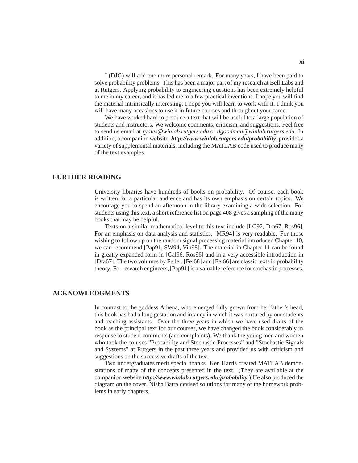I (DJG) will add one more personal remark. For many years, I have been paid to solve probability problems. This has been a major part of my research at Bell Labs and at Rutgers. Applying probability to engineering questions has been extremely helpful to me in my career, and it has led me to a few practical inventions. I hope you will find the material intrinsically interesting. I hope you will learn to work with it. I think you will have many occasions to use it in future courses and throughout your career.

We have worked hard to produce a text that will be useful to a large population of students and instructors. We welcome comments, criticism, and suggestions. Feel free to send us email at *ryates@winlab.rutgers.edu* or *dgoodman@winlab.rutgers.edu*. In addition, a companion website, *http://www.winlab.rutgers.edu/probability*, provides a variety of supplemental materials, including the MATLAB code used to produce many of the text examples.

## **FURTHER READING**

University libraries have hundreds of books on probability. Of course, each book is written for a particular audience and has its own emphasis on certain topics. We encourage you to spend an afternoon in the library examining a wide selection. For students using this text, a short reference list on page 408 gives a sampling of the many books that may be helpful.

Texts on a similar mathematical level to this text include [LG92, Dra67, Ros96]. For an emphasis on data analysis and statistics, [MR94] is very readable. For those wishing to follow up on the random signal processing material introduced Chapter 10, we can recommend [Pap91, SW94, Vin98]. The material in Chapter 11 can be found in greatly expanded form in [Gal96, Ros96] and in a very accessible introduction in [Dra67]. The two volumes by Feller, [Fel68] and [Fel66] are classic texts in probability theory. For research engineers, [Pap91] is a valuable reference for stochastic processes.

## **ACKNOWLEDGMENTS**

In contrast to the goddess Athena, who emerged fully grown from her father's head, this book has had a long gestation and infancy in which it was nurtured by our students and teaching assistants. Over the three years in which we have used drafts of the book as the principal text for our courses, we have changed the book considerably in response to student comments (and complaints). We thank the young men and women who took the courses "Probability and Stochastic Processes" and "Stochastic Signals and Systems" at Rutgers in the past three years and provided us with criticism and suggestions on the successive drafts of the text.

Two undergraduates merit special thanks. Ken Harris created MATLAB demonstrations of many of the concepts presented in the text. (They are available at the companion website *http://www.winlab.rutgers.edu/probability*.) He also produced the diagram on the cover. Nisha Batra devised solutions for many of the homework problems in early chapters.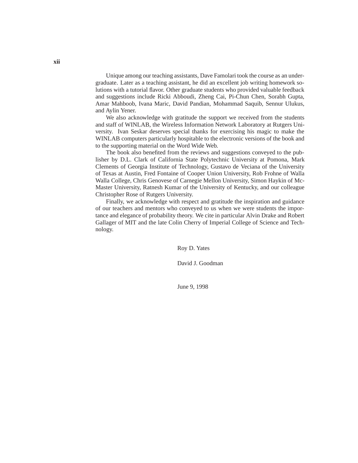Unique among our teaching assistants, Dave Famolari took the course as an undergraduate. Later as a teaching assistant, he did an excellent job writing homework solutions with a tutorial flavor. Other graduate students who provided valuable feedback and suggestions include Ricki Abboudi, Zheng Cai, Pi-Chun Chen, Sorabh Gupta, Amar Mahboob, Ivana Maric, David Pandian, Mohammad Saquib, Sennur Ulukus, and Aylin Yener.

We also acknowledge with gratitude the support we received from the students and staff of WINLAB, the Wireless Information Network Laboratory at Rutgers University. Ivan Seskar deserves special thanks for exercising his magic to make the WINLAB computers particularly hospitable to the electronic versions of the book and to the supporting material on the Word Wide Web.

The book also benefited from the reviews and suggestions conveyed to the publisher by D.L. Clark of California State Polytechnic University at Pomona, Mark Clements of Georgia Institute of Technology, Gustavo de Veciana of the University of Texas at Austin, Fred Fontaine of Cooper Union University, Rob Frohne of Walla Walla College, Chris Genovese of Carnegie Mellon University, Simon Haykin of Mc-Master University, Ratnesh Kumar of the University of Kentucky, and our colleague Christopher Rose of Rutgers University.

Finally, we acknowledge with respect and gratitude the inspiration and guidance of our teachers and mentors who conveyed to us when we were students the importance and elegance of probability theory. We cite in particular Alvin Drake and Robert Gallager of MIT and the late Colin Cherry of Imperial College of Science and Technology.

Roy D. Yates

David J. Goodman

June 9, 1998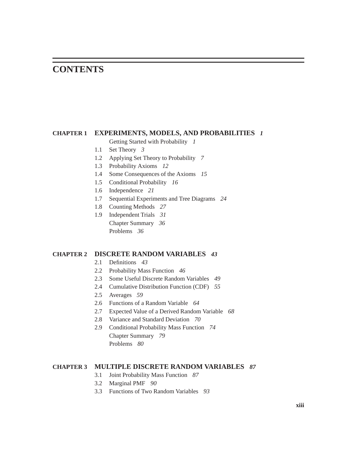## **CONTENTS**

## **CHAPTER 1 EXPERIMENTS, MODELS, AND PROBABILITIES** *1*

Getting Started with Probability *1*

- 1.1 Set Theory *3*
- 1.2 Applying Set Theory to Probability *7*
- 1.3 Probability Axioms *12*
- 1.4 Some Consequences of the Axioms *15*
- 1.5 Conditional Probability *16*
- 1.6 Independence *21*
- 1.7 Sequential Experiments and Tree Diagrams *24*
- 1.8 Counting Methods *27*
- 1.9 Independent Trials *31* Chapter Summary *36* Problems *36*

## **CHAPTER 2 DISCRETE RANDOM VARIABLES** *43*

- 2.1 Definitions *43*
- 2.2 Probability Mass Function *46*
- 2.3 Some Useful Discrete Random Variables *49*
- 2.4 Cumulative Distribution Function (CDF) *55*
- 2.5 Averages *59*
- 2.6 Functions of a Random Variable *64*
- 2.7 Expected Value of a Derived Random Variable *68*
- 2.8 Variance and Standard Deviation *70*
- 2.9 Conditional Probability Mass Function *74* Chapter Summary *79* Problems *80*

## **CHAPTER 3 MULTIPLE DISCRETE RANDOM VARIABLES** *87*

- 3.1 Joint Probability Mass Function *87*
- 3.2 Marginal PMF *90*
- 3.3 Functions of Two Random Variables *93*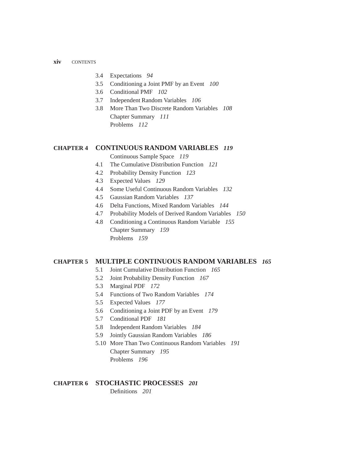- **xiv** CONTENTS
	- 3.4 Expectations *94*
	- 3.5 Conditioning a Joint PMF by an Event *100*
	- 3.6 Conditional PMF *102*
	- 3.7 Independent Random Variables *106*
	- 3.8 More Than Two Discrete Random Variables *108* Chapter Summary *111* Problems *112*

## **CHAPTER 4 CONTINUOUS RANDOM VARIABLES** *119*

Continuous Sample Space *119*

- 4.1 The Cumulative Distribution Function *121*
- 4.2 Probability Density Function *123*
- 4.3 Expected Values *129*
- 4.4 Some Useful Continuous Random Variables *132*
- 4.5 Gaussian Random Variables *137*
- 4.6 Delta Functions, Mixed Random Variables *144*
- 4.7 Probability Models of Derived Random Variables *150*
- 4.8 Conditioning a Continuous Random Variable *155* Chapter Summary *159* Problems *159*

## **CHAPTER 5 MULTIPLE CONTINUOUS RANDOM VARIABLES** *165*

- 5.1 Joint Cumulative Distribution Function *165*
- 5.2 Joint Probability Density Function *167*
- 5.3 Marginal PDF *172*
- 5.4 Functions of Two Random Variables *174*
- 5.5 Expected Values *177*
- 5.6 Conditioning a Joint PDF by an Event *179*
- 5.7 Conditional PDF *181*
- 5.8 Independent Random Variables *184*
- 5.9 Jointly Gaussian Random Variables *186*
- 5.10 More Than Two Continuous Random Variables *191* Chapter Summary *195* Problems *196*

## **CHAPTER 6 STOCHASTIC PROCESSES** *201*

Definitions *201*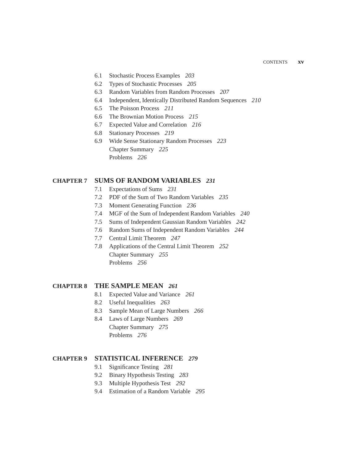- 6.1 Stochastic Process Examples *203*
- 6.2 Types of Stochastic Processes *205*
- 6.3 Random Variables from Random Processes *207*
- 6.4 Independent, Identically Distributed Random Sequences *210*
- 6.5 The Poisson Process *211*
- 6.6 The Brownian Motion Process *215*
- 6.7 Expected Value and Correlation *216*
- 6.8 Stationary Processes *219*
- 6.9 Wide Sense Stationary Random Processes *223* Chapter Summary *225* Problems *226*

## **CHAPTER 7 SUMS OF RANDOM VARIABLES** *231*

- 7.1 Expectations of Sums *231*
- 7.2 PDF of the Sum of Two Random Variables *235*
- 7.3 Moment Generating Function *236*
- 7.4 MGF of the Sum of Independent Random Variables *240*
- 7.5 Sums of Independent Gaussian Random Variables *242*
- 7.6 Random Sums of Independent Random Variables *244*
- 7.7 Central Limit Theorem *247*
- 7.8 Applications of the Central Limit Theorem *252* Chapter Summary *255* Problems *256*

## **CHAPTER 8 THE SAMPLE MEAN** *261*

- 8.1 Expected Value and Variance *261*
- 8.2 Useful Inequalities *263*
- 8.3 Sample Mean of Large Numbers *266*
- 8.4 Laws of Large Numbers *269* Chapter Summary *275* Problems *276*

## **CHAPTER 9 STATISTICAL INFERENCE** *279*

- 9.1 Significance Testing *281*
- 9.2 Binary Hypothesis Testing *283*
- 9.3 Multiple Hypothesis Test *292*
- 9.4 Estimation of a Random Variable *295*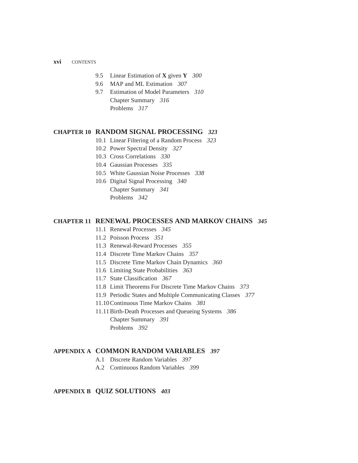#### **xvi** CONTENTS

- 9.5 Linear Estimation of **X** given **Y** *300*
- 9.6 MAP and ML Estimation *307*
- 9.7 Estimation of Model Parameters *310* Chapter Summary *316* Problems *317*

## **CHAPTER 10 RANDOM SIGNAL PROCESSING** *323*

- 10.1 Linear Filtering of a Random Process *323*
- 10.2 Power Spectral Density *327*
- 10.3 Cross Correlations *330*
- 10.4 Gaussian Processes *335*
- 10.5 White Gaussian Noise Processes *338*
- 10.6 Digital Signal Processing *340*
	- Chapter Summary *341* Problems *342*

### **CHAPTER 11 RENEWAL PROCESSES AND MARKOV CHAINS** *345*

- 11.1 Renewal Processes *345*
- 11.2 Poisson Process *351*
- 11.3 Renewal-Reward Processes *355*
- 11.4 Discrete Time Markov Chains *357*
- 11.5 Discrete Time Markov Chain Dynamics *360*
- 11.6 Limiting State Probabilities *363*
- 11.7 State Classification *367*
- 11.8 Limit Theorems For Discrete Time Markov Chains *373*
- 11.9 Periodic States and Multiple Communicating Classes *377*
- 11.10 Continuous Time Markov Chains *381*
- 11.11 Birth-Death Processes and Queueing Systems *386* Chapter Summary *391* Problems *392*

## **APPENDIX A COMMON RANDOM VARIABLES** *397*

- A.1 Discrete Random Variables *397*
- A.2 Continuous Random Variables *399*

## **APPENDIX B QUIZ SOLUTIONS** *403*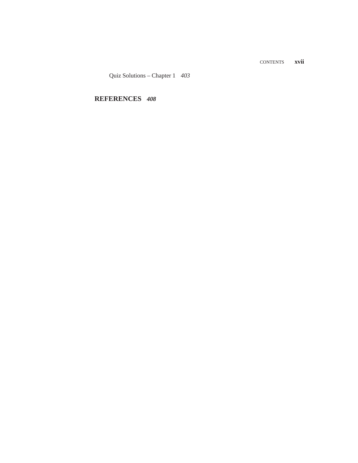CONTENTS **xvii**

Quiz Solutions – Chapter 1 *403*

**REFERENCES** *408*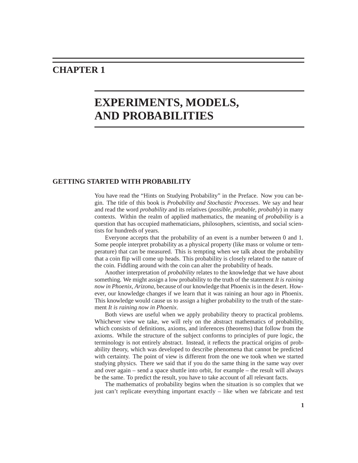## **CHAPTER 1**

# **EXPERIMENTS, MODELS, AND PROBABILITIES**

## **GETTING STARTED WITH PROBABILITY**

You have read the "Hints on Studying Probability" in the Preface. Now you can begin. The title of this book is *Probability and Stochastic Processes*. We say and hear and read the word *probability* and its relatives (*possible, probable, probably*) in many contexts. Within the realm of applied mathematics, the meaning of *probability* is a question that has occupied mathematicians, philosophers, scientists, and social scientists for hundreds of years.

Everyone accepts that the probability of an event is a number between 0 and 1. Some people interpret probability as a physical property (like mass or volume or temperature) that can be measured. This is tempting when we talk about the probability that a coin flip will come up heads. This probability is closely related to the nature of the coin. Fiddling around with the coin can alter the probability of heads.

Another interpretation of *probability* relates to the knowledge that we have about something. We might assign a low probability to the truth of the statement *It is raining now in Phoenix, Arizona*, because of our knowledge that Phoenix is in the desert. However, our knowledge changes if we learn that it was raining an hour ago in Phoenix. This knowledge would cause us to assign a higher probability to the truth of the statement *It is raining now in Phoenix*.

Both views are useful when we apply probability theory to practical problems. Whichever view we take, we will rely on the abstract mathematics of probability, which consists of definitions, axioms, and inferences (theorems) that follow from the axioms. While the structure of the subject conforms to principles of pure logic, the terminology is not entirely abstract. Instead, it reflects the practical origins of probability theory, which was developed to describe phenomena that cannot be predicted with certainty. The point of view is different from the one we took when we started studying physics. There we said that if you do the same thing in the same way over and over again – send a space shuttle into orbit, for example – the result will always be the same. To predict the result, you have to take account of all relevant facts.

The mathematics of probability begins when the situation is so complex that we just can't replicate everything important exactly – like when we fabricate and test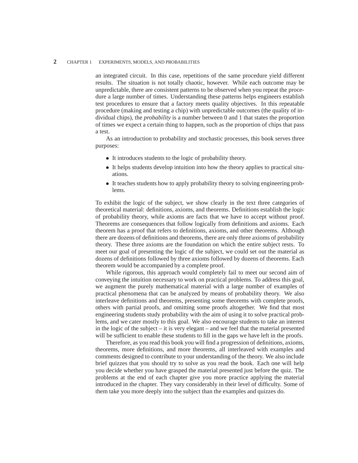#### **2** CHAPTER 1 EXPERIMENTS, MODELS, AND PROBABILITIES

an integrated circuit. In this case, repetitions of the same procedure yield different results. The situation is not totally chaotic, however. While each outcome may be unpredictable, there are consistent patterns to be observed when you repeat the procedure a large number of times. Understanding these patterns helps engineers establish test procedures to ensure that a factory meets quality objectives. In this repeatable procedure (making and testing a chip) with unpredictable outcomes (the quality of individual chips), the *probability* is a number between 0 and 1 that states the proportion of times we expect a certain thing to happen, such as the proportion of chips that pass a test.

As an introduction to probability and stochastic processes, this book serves three purposes:

- It introduces students to the logic of probability theory.
- It helps students develop intuition into how the theory applies to practical situations.
- It teaches students how to apply probability theory to solving engineering problems.

To exhibit the logic of the subject, we show clearly in the text three categories of theoretical material: definitions, axioms, and theorems. Definitions establish the logic of probability theory, while axioms are facts that we have to accept without proof. Theorems are consequences that follow logically from definitions and axioms. Each theorem has a proof that refers to definitions, axioms, and other theorems. Although there are dozens of definitions and theorems, there are only three axioms of probability theory. These three axioms are the foundation on which the entire subject rests. To meet our goal of presenting the logic of the subject, we could set out the material as dozens of definitions followed by three axioms followed by dozens of theorems. Each theorem would be accompanied by a complete proof.

While rigorous, this approach would completely fail to meet our second aim of conveying the intuition necessary to work on practical problems. To address this goal, we augment the purely mathematical material with a large number of examples of practical phenomena that can be analyzed by means of probability theory. We also interleave definitions and theorems, presenting some theorems with complete proofs, others with partial proofs, and omitting some proofs altogether. We find that most engineering students study probability with the aim of using it to solve practical problems, and we cater mostly to this goal. We also encourage students to take an interest in the logic of the subject – it is very elegant – and we feel that the material presented will be sufficient to enable these students to fill in the gaps we have left in the proofs.

Therefore, as you read this book you will find a progression of definitions, axioms, theorems, more definitions, and more theorems, all interleaved with examples and comments designed to contribute to your understanding of the theory. We also include brief quizzes that you should try to solve as you read the book. Each one will help you decide whether you have grasped the material presented just before the quiz. The problems at the end of each chapter give you more practice applying the material introduced in the chapter. They vary considerably in their level of difficulty. Some of them take you more deeply into the subject than the examples and quizzes do.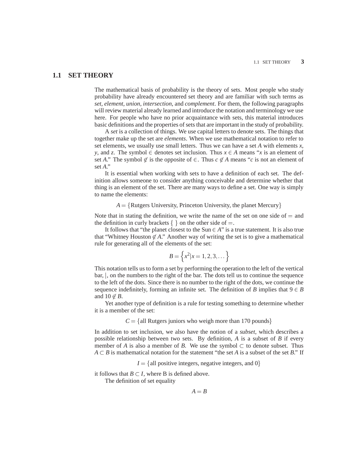## **1.1 SET THEORY**

The mathematical basis of probability is the theory of sets. Most people who study probability have already encountered set theory and are familiar with such terms as *set, element, union, intersection*, and *complement*. For them, the following paragraphs will review material already learned and introduce the notation and terminology we use here. For people who have no prior acquaintance with sets, this material introduces basic definitions and the properties of sets that are important in the study of probability.

A *set* is a collection of things. We use capital letters to denote sets. The things that together make up the set are *elements*. When we use mathematical notation to refer to set elements, we usually use small letters. Thus we can have a set *A* with elements *x*, *y*, and *z*. The symbol  $\in$  denotes set inclusion. Thus  $x \in A$  means "*x* is an element of set *A*." The symbol  $\notin$  is the opposite of  $\in$ . Thus  $c \notin A$  means "*c* is not an element of set *A*."

It is essential when working with sets to have a definition of each set. The definition allows someone to consider anything conceivable and determine whether that thing is an element of the set. There are many ways to define a set. One way is simply to name the elements:

 $A = \{Rutgers University, Princeton University, the planet Mercury\}$ 

Note that in stating the definition, we write the name of the set on one side of  $=$  and the definition in curly brackets  $\{\}$  on the other side of  $=$ .

It follows that "the planet closest to the Sun  $\in A$ " is a true statement. It is also true that "Whitney Houston  $\notin A$ ." Another way of writing the set is to give a mathematical rule for generating all of the elements of the set:

$$
B = \left\{ x^2 | x = 1, 2, 3, \dots \right\}
$$

This notation tells us to form a set by performing the operation to the left of the vertical bar, j, on the numbers to the right of the bar. The dots tell us to continue the sequence to the left of the dots. Since there is no number to the right of the dots, we continue the sequence indefinitely, forming an infinite set. The definition of *B* implies that  $9 \in B$ and  $10 \notin B$ .

Yet another type of definition is a rule for testing something to determine whether it is a member of the set:

 $C = \{$ all Rutgers juniors who weigh more than 170 pounds $\}$ 

In addition to set inclusion, we also have the notion of a *subset*, which describes a possible relationship between two sets. By definition, *A* is a subset of *B* if every member of *A* is also a member of *B*. We use the symbol  $\subset$  to denote subset. Thus  $A \subset B$  is mathematical notation for the statement "the set *A* is a subset of the set *B*." If

 $I = \{$ all positive integers, negative integers, and 0 $\}$ 

it follows that  $B \subset I$ , where B is defined above.

The definition of set equality

$$
A = B
$$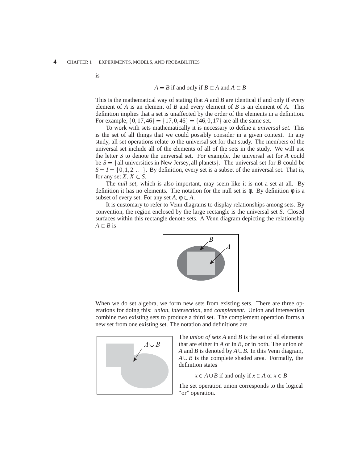is

#### $A = B$  if and only if  $B \subset A$  and  $A \subset B$

This is the mathematical way of stating that *A* and *B* are identical if and only if every element of *A* is an element of *B* and every element of *B* is an element of *A*. This definition implies that a set is unaffected by the order of the elements in a definition. For example,  $\{0, 17, 46\} = \{17, 0, 46\} = \{46, 0, 17\}$  are all the same set.

To work with sets mathematically it is necessary to define a *universal set*. This is the set of all things that we could possibly consider in a given context. In any study, all set operations relate to the universal set for that study. The members of the universal set include all of the elements of all of the sets in the study. We will use the letter *S* to denote the universal set. For example, the universal set for *A* could be  $S = \{$ all universities in New Jersey, all planets $\}$ . The universal set for *B* could be  $S = I = \{0, 1, 2, \dots\}$ . By definition, every set is a subset of the universal set. That is, for any set  $X, X \subset S$ .

The *null set*, which is also important, may seem like it is not a set at all. By definition it has no elements. The notation for the null set is  $\phi$ . By definition  $\phi$  is a subset of every set. For any set  $A$ ,  $\phi \subset A$ .

It is customary to refer to Venn diagrams to display relationships among sets. By convention, the region enclosed by the large rectangle is the universal set *S*. Closed surfaces within this rectangle denote sets. A Venn diagram depicting the relationship  $A \subset B$  is



When we do set algebra, we form new sets from existing sets. There are three operations for doing this: *union*, *intersection*, and *complement*. Union and intersection combine two existing sets to produce a third set. The complement operation forms a new set from one existing set. The notation and definitions are



The *union of sets A* and *B* is the set of all elements that are either in *A* or in *B*, or in both. The union of *A* and *B* is denoted by  $A \cup B$ . In this Venn diagram,  $A \cup B$  is the complete shaded area. Formally, the definition states

 $x \in A \cup B$  if and only if  $x \in A$  or  $x \in B$ 

The set operation union corresponds to the logical "or" operation.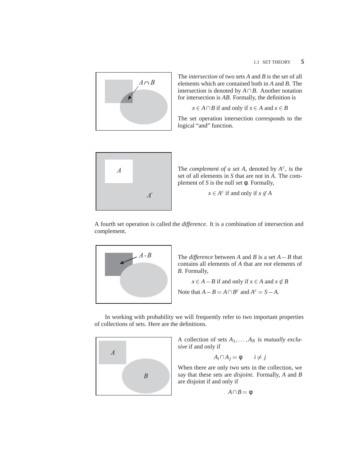

The *intersection* of two sets *A* and *B* is the set of all elements which are contained both in *A* and *B*. The intersection is denoted by  $A \cap B$ . Another notation for intersection is *AB*. Formally, the definition is

 $x \in A \cap B$  if and only if  $x \in A$  and  $x \in B$ 

The set operation intersection corresponds to the logical "and" function.



The *complement of a set A*, denoted by  $A^c$ , is the set of all elements in *S* that are not in *A*. The complement of *S* is the null set φ. Formally,

 $x \in A^c$  if and only if  $x \notin A$ 

A fourth set operation is called the *difference*. It is a combination of intersection and complement.



 $A-B$  The *difference* between *A* and *B* is a set  $A - B$  that contains all elements of *A* that are *not* elements of *B*. Formally,

 $x \in A - B$  if and only if  $x \in A$  and  $x \notin B$ 

Note that  $A - B = A \cap B^c$  and  $A^c = S - A$ .

In working with probability we will frequently refer to two important properties of collections of sets. Here are the definitions.



A collection of sets  $A_1, \ldots, A_N$  is *mutually exclusive* if and only if

$$
A_i \cap A_j = \emptyset \qquad i \neq j
$$

When there are only two sets in the collection, we say that these sets are *disjoint*. Formally, *A* and *B* are disjoint if and only if

$$
A \cap B = \emptyset
$$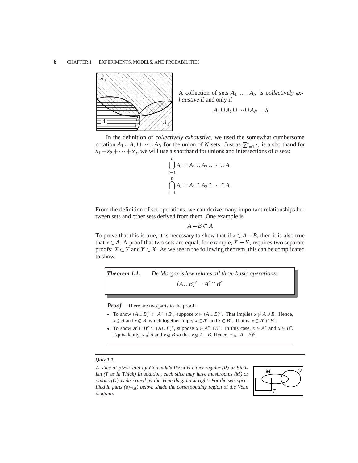#### **6** CHAPTER 1 EXPERIMENTS, MODELS, AND PROBABILITIES



A collection of sets  $A_1, \ldots, A_N$  is *collectively exhaustive* if and only if

$$
A_1 \cup A_2 \cup \cdots \cup A_N = S
$$

In the definition of *collectively exhaustive*, we used the somewhat cumbersome notation  $A_1 \cup A_2 \cup \cdots \cup A_N$  for the union of *N* sets. Just as  $\sum_{i=1}^n x_i$  is a shorthand for  $x_1 + x_2 + \cdots + x_n$ , we will use a shorthand for unions and intersections of *n* sets:

$$
\bigcup_{i=1}^{n} A_i = A_1 \cup A_2 \cup \dots \cup A_n
$$
  

$$
\bigcap_{i=1}^{n} A_i = A_1 \cap A_2 \cap \dots \cap A_n
$$

From the definition of set operations, we can derive many important relationships between sets and other sets derived from them. One example is

$$
A-B\subset A
$$

To prove that this is true, it is necessary to show that if  $x \in A - B$ , then it is also true that  $x \in A$ . A proof that two sets are equal, for example,  $X = Y$ , requires two separate proofs:  $X \subset Y$  and  $Y \subset X$ . As we see in the following theorem, this can be complicated to show.

*Theorem 1.1. De Morgan's law relates all three basic operations:* - $(A \cup B)^c = A^c \cap B^c$ 

*Proof* There are two parts to the proof:

- To show  $(A \cup B)^c \subset A^c \cap B^c$ , suppose  $x \in (A \cup B)^c$ . That implies  $x \notin A \cup B$ . Hence,  $x \notin A$  and  $x \notin B$ , which together imply  $x \in A^c$  and  $x \in B^c$ . That is,  $x \in A^c \cap B^c$ .
- To show  $A^c \cap B^c \subset (A \cup B)^c$ , suppose  $x \in A^c \cap B^c$ . In this case,  $x \in A^c$  and  $x \in B^c$ . Equivalently,  $x \notin A$  and  $x \notin B$  so that  $x \notin A \cup B$ . Hence,  $x \in (A \cup B)^c$ .

## *Quiz 1.1.*

<sup>A</sup> slice of pizza sold by Gerlanda's Pizza is either regular (*R*) or Sicilian (*T* as in Thick) In addition, each slice may have mushrooms (*M*) or onions (*O*) as described by the Venn diagram at right. For the sets specified in parts (a)–(g) below, shade the corresponding region of the Venn diagram.

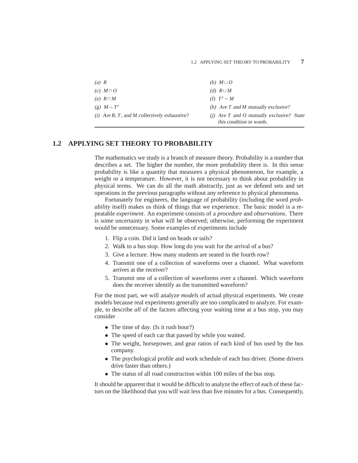| $(a)$ R                                      | (b) $M \cup O$                                                          |
|----------------------------------------------|-------------------------------------------------------------------------|
| (c) $M \cap O$                               | (d) $R \cup M$                                                          |
| (e) $R \cap M$                               | (f) $T^c - M$                                                           |
| $(g)$ $M - T^c$                              | (h) Are $T$ and $M$ mutually exclusive?                                 |
| (i) Are R, T, and M collectively exhaustive? | $(i)$ Are T and O mutually exclusive? State<br>this condition in words. |

## **1.2 APPLYING SET THEORY TO PROBABILITY**

The mathematics we study is a branch of measure theory. Probability is a number that describes a set. The higher the number, the more probability there is. In this sense probability is like a quantity that measures a physical phenomenon, for example, a weight or a temperature. However, it is not necessary to think about probability in physical terms. We can do all the math abstractly, just as we defined sets and set operations in the previous paragraphs without any reference to physical phenomena.

Fortunately for engineers, the language of probability (including the word *probability* itself) makes us think of things that we experience. The basic model is a repeatable *experiment*. An experiment consists of a *procedure* and *observations*. There is some uncertainty in what will be observed; otherwise, performing the experiment would be unnecessary. Some examples of experiments include

- 1. Flip a coin. Did it land on heads or tails?
- 2. Walk to a bus stop. How long do you wait for the arrival of a bus?
- 3. Give a lecture. How many students are seated in the fourth row?
- 4. Transmit one of a collection of waveforms over a channel. What waveform arrives at the receiver?
- 5. Transmit one of a collection of waveforms over a channel. Which waveform does the receiver identify as the transmitted waveform?

For the most part, we will analyze *models* of actual physical experiments. We create models because real experiments generally are too complicated to analyze. For example, to describe *all* of the factors affecting your waiting time at a bus stop, you may consider

- The time of day. (Is it rush hour?)
- The speed of each car that passed by while you waited.
- The weight, horsepower, and gear ratios of each kind of bus used by the bus company.
- The psychological profile and work schedule of each bus driver. (Some drivers drive faster than others.)
- The status of all road construction within 100 miles of the bus stop.

It should be apparent that it would be difficult to analyze the effect of each of these factors on the likelihood that you will wait less than five minutes for a bus. Consequently,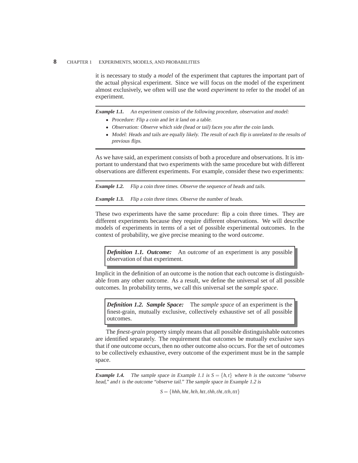#### **8** CHAPTER 1 EXPERIMENTS, MODELS, AND PROBABILITIES

it is necessary to study a *model* of the experiment that captures the important part of the actual physical experiment. Since we will focus on the model of the experiment almost exclusively, we often will use the word *experiment* to refer to the model of an experiment.

*Example 1.1.* An experiment consists of the following procedure, observation and model:

- Procedure: Flip a coin and let it land on a table.
- Observation: Observe which side (head or tail) faces you after the coin lands.
- Model: Heads and tails are equally likely. The result of each flip is unrelated to the results of previous flips.

As we have said, an experiment consists of both a procedure and observations. It is important to understand that two experiments with the same procedure but with different observations are different experiments. For example, consider these two experiments:

**Example 1.2.** Flip a coin three times. Observe the sequence of heads and tails.

**Example 1.3.** Flip a coin three times. Observe the number of heads.

These two experiments have the same procedure: flip a coin three times. They are different experiments because they require different observations. We will describe models of experiments in terms of a set of possible experimental outcomes. In the context of probability, we give precise meaning to the word *outcome*.

*Definition 1.1. Outcome:* An *outcome* of an experiment is any possible observation of that experiment.

Implicit in the definition of an outcome is the notion that each outcome is distinguishable from any other outcome. As a result, we define the universal set of all possible outcomes. In probability terms, we call this universal set the *sample space*.

*Definition 1.2. Sample Space:* The *sample space* of an experiment is the finest-grain, mutually exclusive, collectively exhaustive set of all possible outcomes.

The *finest-grain* property simply means that all possible distinguishable outcomes are identified separately. The requirement that outcomes be mutually exclusive says that if one outcome occurs, then no other outcome also occurs. For the set of outcomes to be collectively exhaustive, every outcome of the experiment must be in the sample space.

*Example 1.4.* The sample space in Example 1.1 is  $S = \{h, t\}$  where *h* is the outcome "observe" head," and *t* is the outcome "observe tail." The sample space in Example 1.2 is

 $S = \{hhh, hht, hth, htt, thh, tht, tth, tth\}$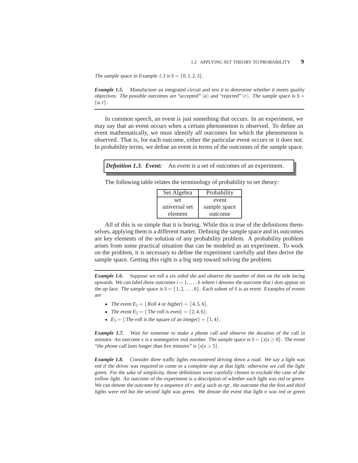The sample space in Example 1.3 is  $S = \{0, 1, 2, 3\}.$ 

**Example 1.5.** Manufacture an integrated circuit and test it to determine whether it meets quality objectives. The possible outcomes are "accepted" (a) and "rejected"  $(r)$ . The sample space is  $S =$  $\{a, r\}.$ 

In common speech, an event is just something that occurs. In an experiment, we may say that an event occurs when a certain phenomenon is observed. To define an event mathematically, we must identify *all* outcomes for which the phenomenon is observed. That is, for each outcome, either the particular event occurs or it does not. In probability terms, we define an event in terms of the outcomes of the sample space.

*Definition 1.3. Event:* An *event* is a set of outcomes of an experiment.

The following table relates the terminology of probability to set theory:

| Set Algebra   | Probability  |
|---------------|--------------|
| set           | event        |
| universal set | sample space |
| element       | outcome      |

All of this is so simple that it is boring. While this is true of the definitions themselves, applying them is a different matter. Defining the sample space and its outcomes are key elements of the solution of any probability problem. A probability problem arises from some practical situation that can be modeled as an experiment. To work on the problem, it is necessary to define the experiment carefully and then derive the sample space. Getting this right is a big step toward solving the problem.

*Example 1.6.* Suppose we roll <sup>a</sup> six sided die and observe the number of dots on the side facing upwards. We can label these outcomes  $i = 1, \ldots, 6$  where *i* denotes the outcome that *i* dots appear on the up face. The sample space is  $S = \{1, 2, \ldots, 6\}$ . Each subset of *S* is an event. Examples of events are

- The event  $E_1 = \{ Roll 4 \text{ or higher}\} = \{4, 5, 6\}.$
- The event  $E_2 = \{$ The roll is even $\} = \{2, 4, 6\}.$
- $E_3 = \{$ The roll is the square of an integer $\} = \{1, 4\}.$

*Example 1.7.* Wait for someone to make <sup>a</sup> phone call and observe the duration of the call in minutes. An outcome *x* is a nonnegative real number. The sample space is  $S = \{x | x \ge 0\}$ . The event "the phone call lasts longer than five minutes" is  $\{x | x > 5\}$ .

**Example 1.8.** Consider three traffic lights encountered driving down a road. We say a light was red if the driver was required to come to <sup>a</sup> complete stop at that light; otherwise we call the light green. For the sake of simplicity, these definitions were carefully chosen to exclude the case of the yellow light. An outcome of the experiment is <sup>a</sup> description of whether each light was red or green. We can denote the outcome by <sup>a</sup> sequence of *r* and *g* such as *rgr*, the outcome that the first and third lights were red but the second light was green. We denote the event that light *n* was red or green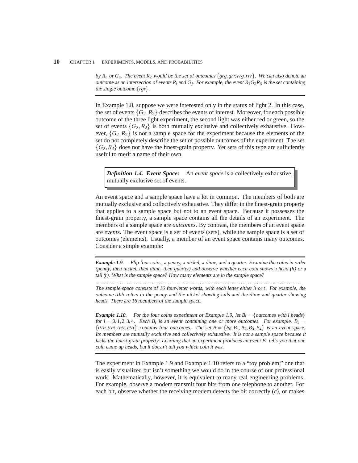#### **10** CHAPTER 1 EXPERIMENTS, MODELS, AND PROBABILITIES

by  $R_n$  or  $G_n$ . The event  $R_2$  would be the set of outcomes  $\{gray, grr, rrg, rrr\}$ . We can also denote an outcome as an intersection of events  $R_i$  and  $G_j$ . For example, the event  $R_1G_2R_3$  is the set containing the single outcome  $\{rgr\}$ .

In Example 1.8, suppose we were interested only in the status of light 2. In this case, the set of events  $\{G_2, R_2\}$  describes the events of interest. Moreover, for each possible outcome of the three light experiment, the second light was either red or green, so the set of events  $\{G_2, R_2\}$  is both mutually exclusive and collectively exhaustive. However,  ${G_2, R_2}$  is not a sample space for the experiment because the elements of the set do not completely describe the set of possible outcomes of the experiment. The set  ${G_2, R_2}$  does not have the finest-grain property. Yet sets of this type are sufficiently useful to merit a name of their own.

*Definition 1.4. Event Space:* An *event space* is a collectively exhaustive, mutually exclusive set of events.

An event space and a sample space have a lot in common. The members of both are mutually exclusive and collectively exhaustive. They differ in the finest-grain property that applies to a sample space but not to an event space. Because it possesses the finest-grain property, a sample space contains all the details of an experiment. The members of a sample space are *outcomes*. By contrast, the members of an event space are *events*. The event space is a set of events (sets), while the sample space is a set of outcomes (elements). Usually, a member of an event space contains many outcomes. Consider a simple example:

*Example 1.9.* Flip four coins, a penny, a nickel, a dime, and a quarter. Examine the coins in order (penny, then nickel, then dime, then quarter) and observe whether each coin shows <sup>a</sup> head (*h*) or <sup>a</sup> tail (*t*). What is the sample space? How many elements are in the sample space?

.......................................................................................... The sample space consists of <sup>16</sup> four-letter words, with each letter either *h* or *t*. For example, the outcome *tthh* refers to the penny and the nickel showing tails and the dime and quarter showing heads. There are 16 members of the sample space.

**Example 1.10.** For the four coins experiment of Example 1.9, let  $B_i = \{$ outcomes with *i* heads $\}$ for  $i = 0, 1, 2, 3, 4$ . Each  $B_i$  is an event containing one or more outcomes. For example,  $B_1 =$  ${$ {t}tth, ttht, thtt, httt } contains four outcomes. The set  $B = {B_0, B_1, B_2, B_3, B_4}$  is an event space. Its members are mutually exclusive and collectively exhaustive. It is not <sup>a</sup> sample space because it lacks the finest-grain property. Learning that an experiment produces an event *B*<sup>1</sup> tells you that one coin came up heads, but it doesn't tell you which coin it was.

The experiment in Example 1.9 and Example 1.10 refers to a "toy problem," one that is easily visualized but isn't something we would do in the course of our professional work. Mathematically, however, it is equivalent to many real engineering problems. For example, observe a modem transmit four bits from one telephone to another. For each bit, observe whether the receiving modem detects the bit correctly (*c*), or makes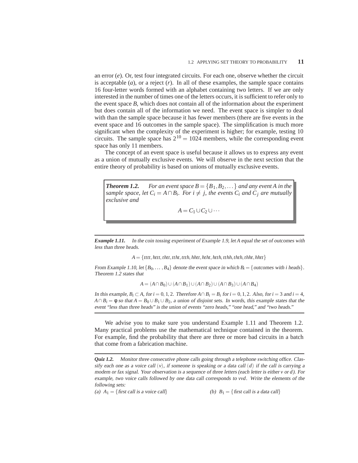an error (*e*). Or, test four integrated circuits. For each one, observe whether the circuit is acceptable  $(a)$ , or a reject  $(r)$ . In all of these examples, the sample space contains 16 four-letter words formed with an alphabet containing two letters. If we are only interested in the number of times one of the letters occurs, it is sufficient to refer only to the event space *B*, which does not contain all of the information about the experiment but does contain all of the information we need. The event space is simpler to deal with than the sample space because it has fewer members (there are five events in the event space and 16 outcomes in the sample space). The simplification is much more significant when the complexity of the experiment is higher; for example, testing 10 circuits. The sample space has  $2^{10} = 1024$  members, while the corresponding event space has only 11 members.

The concept of an event space is useful because it allows us to express any event as a union of mutually exclusive events. We will observe in the next section that the entire theory of probability is based on unions of mutually exclusive events.

*Theorem 1.2. For an event space*  $B = \{B_1, B_2, \ldots\}$  *and any event A in the sample space, let*  $C_i = A \cap B_i$ *. For*  $i \neq j$ *, the events*  $C_i$  *and*  $C_j$  *are mutually exclusive and*

 $A = C_1 \cup C_2 \cup \cdots$ 

*Example 1.11.* In the coin tossing experiment of Example 1.9, let *A* equal the set of outcomes with less than three heads.

 $A = \{ttttt, httt, thtt, ttht, ttht, tthh, hhtt, htth, tthh, tthh, thth, hhtt\}$ 

From Example 1.10, let  $\{B_0, \ldots, B_4\}$  denote the event space in which  $B_i = \{$ outcomes with *i* heads $\}$ . Theorem 1.2 states that

 $A = (A \cap B_0) \cup (A \cap B_1) \cup (A \cap B_2) \cup (A \cap B_3) \cup (A \cap B_4)$ 

In this example,  $B_i \subset A$ , for  $i = 0, 1, 2$ . Therefore  $A \cap B_i = B_i$  for  $i = 0, 1, 2$ . Also, for  $i = 3$  and  $i = 4$ ,  $A \cap B_i = \emptyset$  so that  $A = B_0 \cup B_1 \cup B_2$ , a union of disjoint sets. In words, this example states that the event "less than three heads" is the union of events "zero heads," "one head," and "two heads."

We advise you to make sure you understand Example 1.11 and Theorem 1.2. Many practical problems use the mathematical technique contained in the theorem. For example, find the probability that there are three or more bad circuits in a batch that come from a fabrication machine.

(a)  $A_1 = \{\text{first call is a voice call}\}\$  (b)  $B_1 =$ 

(b)  $B_1 = \{\text{first call is a data call}\}\$ 

*Quiz 1.2.* Monitor three consecutive phone calls going through a telephone switching office. Classify each one as a voice call  $(v)$ , if someone is speaking or a data call  $(d)$  if the call is carrying a modem or fax signal. Your observation is <sup>a</sup> sequence of three letters (each letter is either *v* or *d*). For example, two voice calls followed by one data call corresponds to *vvd*. Write the elements of the following sets: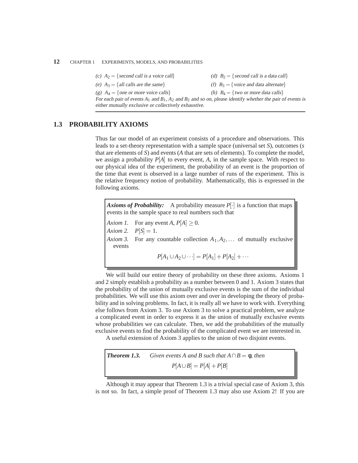#### **12** CHAPTER 1 EXPERIMENTS, MODELS, AND PROBABILITIES

- (c)  $A_2 = \{second call is a voice call\}$  (d)  $B_2 =$
- (d)  $B_2 = \{second call is a data call\}$
- (e)  $A_3 = \{ \text{all calls are the same} \}$  (f)  $B_3 =$
- (f)  $B_3 = \{ \text{ voice and data alternate} \}$ (h)  $B_4 = \{two \text{ or more data calls}\}\$
- (g)  $A_4 = \{$  one or more voice calls $\}$  (h)  $B_4 =$ For each pair of events *A*<sup>1</sup> and *B*1, *A*<sup>2</sup> and *B*<sup>2</sup> and so on, please identify whether the pair of events is either mutually exclusive or collectively exhaustive.

## **1.3 PROBABILITY AXIOMS**

Thus far our model of an experiment consists of a procedure and observations. This leads to a set-theory representation with a sample space (universal set *S*), outcomes (*s* that are elements of *S*) and events (*A* that are sets of elements). To complete the model, we assign a probability  $P[A]$  to every event, A, in the sample space. With respect to our physical idea of the experiment, the probability of an event is the proportion of the time that event is observed in a large number of runs of the experiment. This is the relative frequency notion of probability. Mathematically, this is expressed in the following axioms.

*Axioms of Probability:* A probability measure  $P[\cdot]$  is a function that maps events in the sample space to real numbers such that

- *Axiom 1.* For any event *A*,  $P[A] \geq 0$ .
- *Axiom 2.*  $P[S] = 1$ .

*Axiom 3.* For any countable collection  $A_1, A_2, \ldots$  of mutually exclusive events

 $P[A_1 \cup A_2 \cup \cdots] = P[A_1] + P[A_2] + \cdots$ 

We will build our entire theory of probability on these three axioms. Axioms 1 and 2 simply establish a probability as a number between 0 and 1. Axiom 3 states that the probability of the union of mutually exclusive events is the sum of the individual probabilities. We will use this axiom over and over in developing the theory of probability and in solving problems. In fact, it is really all we have to work with. Everything else follows from Axiom 3. To use Axiom 3 to solve a practical problem, we analyze a complicated event in order to express it as the union of mutually exclusive events whose probabilities we can calculate. Then, we add the probabilities of the mutually exclusive events to find the probability of the complicated event we are interested in.

A useful extension of Axiom 3 applies to the union of two disjoint events.

*Theorem 1.3. Given events A and B such that*  $A \cap B = \emptyset$ *, then*  $P[A \cup B] = P[A] + P[B]$ 

Although it may appear that Theorem 1.3 is a trivial special case of Axiom 3, this is not so. In fact, a simple proof of Theorem 1.3 may also use Axiom 2! If you are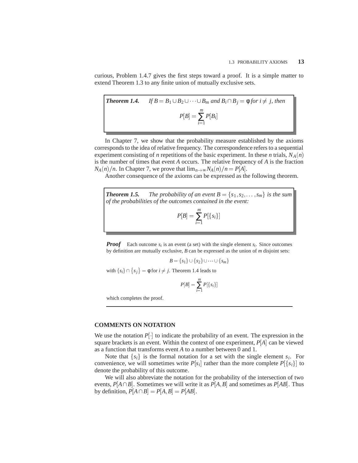curious, Problem 1.4.7 gives the first steps toward a proof. It is a simple matter to extend Theorem 1.3 to any finite union of mutually exclusive sets.

**Theorem 1.4.** If 
$$
B = B_1 \cup B_2 \cup \cdots \cup B_m
$$
 and  $B_i \cap B_j = \emptyset$  for  $i \neq j$ , then  

$$
P[B] = \sum_{i=1}^m P[B_i]
$$

In Chapter 7, we show that the probability measure established by the axioms corresponds to the idea of relative frequency. The correspondence refers to a sequential experiment consisting of *n* repetitions of the basic experiment. In these *n* trials,  $N_A(n)$ is the number of times that event *A* occurs. The relative frequency of *A* is the fraction  $N_A(n)/n$ . In Chapter 7, we prove that  $\lim_{n\to\infty} N_A(n)/n = P[A]$ .

Another consequence of the axioms can be expressed as the following theorem.

*Theorem 1.5. The probability of an event*  $B = \{s_1, s_2, \ldots, s_m\}$  *is the sum of the probabilities of the outcomes contained in the event:*

$$
P[B] = \sum_{i=1}^{m} P[\{s_i\}]
$$

*Proof* Each outcome  $s_i$  is an event (a set) with the single element  $s_i$ . Since outcomes by definition are mutually exclusive, *B* can be expressed as the union of *m* disjoint sets:

$$
B = \{s_1\} \cup \{s_2\} \cup \cdots \cup \{s_m\}
$$

with  $\{s_i\} \cap \{s_j\} = \emptyset$  for  $i \neq j$ . Theorem 1.4 leads to

$$
P[B] = \sum_{i=1}^{m} P[\{s_i\}]
$$

which completes the proof.

## **COMMENTS ON NOTATION**

We use the notation  $P[\cdot]$  to indicate the probability of an event. The expression in the square brackets is an event. Within the context of one experiment,  $P[A]$  can be viewed as a function that transforms event *A* to a number between 0 and 1.

Note that  $\{s_i\}$  is the formal notation for a set with the single element  $s_i$ . For convenience, we will sometimes write  $P[s_i]$  rather than the more complete  $P[\{s_i\}]$  to denote the probability of this outcome.

We will also abbreviate the notation for the probability of the intersection of two events,  $P[A \cap B]$ . Sometimes we will write it as  $P[A, B]$  and sometimes as  $P[AB]$ . Thus by definition,  $P[A \cap B] = P[A, B] = P[AB]$ .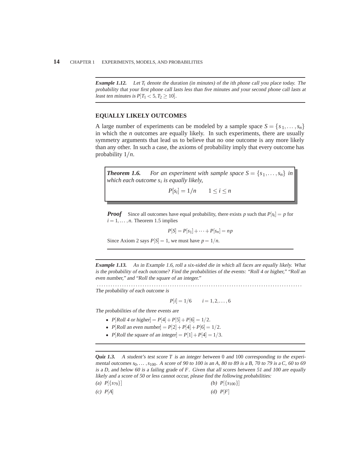*Example 1.12.* Let *Ti* denote the duration (in minutes) of the *i*th phone call you place today. The probability that your first phone call lasts less than five minutes and your second phone call lasts at least ten minutes is  $P[T_1 < 5, T_2 \ge 10]$ .

## **EQUALLY LIKELY OUTCOMES**

A large number of experiments can be modeled by a sample space  $S = \{s_1, \ldots, s_n\}$ in which the *n* outcomes are equally likely. In such experiments, there are usually symmetry arguments that lead us to believe that no one outcome is any more likely than any other. In such a case, the axioms of probability imply that every outcome has probability  $1/n$ .

*Theorem 1.6. For an experiment with sample space*  $S = \{s_1, \ldots, s_n\}$  *in which each outcome si is equally likely,*

> $P[s_i] = 1/n$  $1 \leq i \leq n$

*Proof* Since all outcomes have equal probability, there exists *p* such that  $P[s_i] = p$  for  $i = 1, \ldots, n$ . Theorem 1.5 implies

$$
P[S] = P[s_1] + \cdots + P[s_n] = np
$$

Since Axiom 2 says  $P[S] = 1$ , we must have  $p = 1/n$ .

*Example 1.13.* As in Example 1.6, roll <sup>a</sup> six-sided die in which all faces are equally likely. What is the probability of each outcome? Find the probabilities of the events: "Roll 4 or higher," "Roll an even number," and "Roll the square of an integer."

..........................................................................................

The probability of each outcome is

$$
P[i] = 1/6
$$
  $i = 1, 2, ..., 6$ 

The probabilities of the three events are

- $P[Roll 4 \text{ or higher}] = P[4] + P[5] + P[6] = 1/2.$
- $P[Roll \text{ an even number}] = P[2] + P[4] + P[6] = 1/2.$
- *P*[Roll the square of an integer]  $= P[1] + P[4] = 1/3$ .

*Quiz 1.3.* <sup>A</sup> student's test score *T* is an integer between 0 and 100 corresponding to the experimental outcomes  $s_0, \ldots, s_{100}$ . A score of 90 to 100 is an A, 80 to 89 is a B, 70 to 79 is a C, 60 to 69 is <sup>a</sup> *D*, and below <sup>60</sup> is <sup>a</sup> failing grade of *F*. Given that all scores between <sup>51</sup> and <sup>100</sup> are equally likely and <sup>a</sup> score of 50 or less cannot occur, please find the following probabilities: (a)  $P[{s_{79}}]$  (b)  $P[{s_{100}}]$ 

```
(c) PA (d) PF
```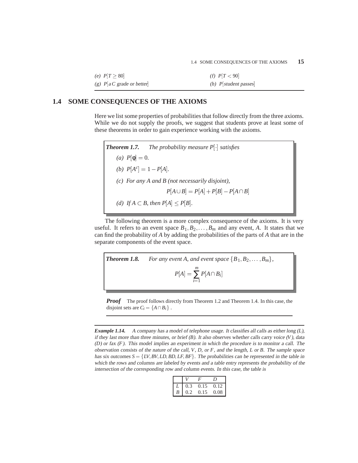| (e) $P[T \ge 80]$           | (f) $P[T < 90]$        |
|-----------------------------|------------------------|
| (g) $P a C$ grade or better | (h) $P$ student passes |

## **1.4 SOME CONSEQUENCES OF THE AXIOMS**

Here we list some properties of probabilities that follow directly from the three axioms. While we do not supply the proofs, we suggest that students prove at least some of these theorems in order to gain experience working with the axioms.

**Theorem 1.7.** The probability measure  $P[\cdot]$  satisfies *(a)*  $P[\phi] = 0$ . *(b)*  $P[A^c] = 1 - P[A].$ *(c) For any A and B (not necessarily disjoint),*  $P[A \cup B] = P[A] + P[B] - P[A \cap B]$ *(d) If*  $A \subset B$ *, then*  $P[A] \leq P[B]$ *.* 

The following theorem is a more complex consequence of the axioms. It is very useful. It refers to an event space  $B_1, B_2, \ldots, B_m$  and any event, A. It states that we can find the probability of *A* by adding the probabilities of the parts of *A* that are in the separate components of the event space.

**Theorem 1.8.** For any event A, and event space 
$$
\{B_1, B_2, ..., B_m\}
$$
,  

$$
P[A] = \sum_{i=1}^{m} P[A \cap B_i]
$$

*Proof* The proof follows directly from Theorem 1.2 and Theorem 1.4. In this case, the disjoint sets are  $C_i = \{A \cap B_i\}$ .

*Example 1.14.* <sup>A</sup> company has <sup>a</sup> model of telephone usage. It classifies all calls as either long (*L*), if they last more than three minutes, or brief (*B*). It also observes whether calls carry voice (*V*), data (*D*) or fax (*F*). This model implies an experiment in which the procedure is to monitor <sup>a</sup> call. The observation consists of the nature of the call, *V*, *D*, or *F*, and the length, *L* or *B*. The sample space has six outcomes  $S = \{LV, BV, LD, BD, LF, BF\}$ . The probabilities can be represented in the table in which the rows and columns are labeled by events and <sup>a</sup> table entry represents the probability of the intersection of the corresponding row and column events. In this case, the table is

|   | 0.3 | 0.15 | 0.12 |
|---|-----|------|------|
| B | 0.2 | 0.15 | 0.08 |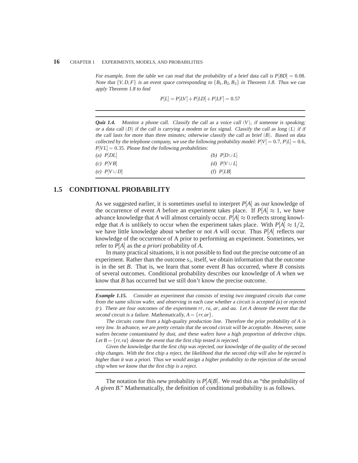For example, from the table we can read that the probability of a brief data call is  $P|BD| = 0.08$ . Note that  $\{V, D, F\}$  is an event space corresponding to  $\{B_1, B_2, B_3\}$  in Theorem 1.8. Thus we can apply Theorem 1.8 to find

$$
P[L] = P[LV] + P[LD] + P[LF] = 0.57
$$

*Quiz 1.4.* Monitor a phone call. Classify the call as a voice call  $(V)$ , if someone is speaking; or a data call  $(D)$  if the call is carrying a modem or fax signal. Classify the call as long  $(L)$  if if the call lasts for more than three minutes; otherwise classify the call as brief *B*. Based on data collected by the telephone company, we use the following probability model:  $P[V] = 0.7$ ,  $P[L] = 0.6$ ,  $P[VL] = 0.35$ . Please find the following probabilities:

| (a) $P[DL]$       | (b) $P[D\cup L]$  |
|-------------------|-------------------|
| (c) $P[VB]$       | (d) $P[V \cup L]$ |
| (e) $P[V \cup D]$ | $(f)$ $P[LB]$     |

## **1.5 CONDITIONAL PROBABILITY**

As we suggested earlier, it is sometimes useful to interpret  $P[A]$  as our knowledge of the occurrence of event *A* before an experiment takes place. If  $P[A] \approx 1$ , we have advance knowledge that *A* will almost certainly occur.  $P[A] \approx 0$  reflects strong knowledge that *A* is unlikely to occur when the experiment takes place. With  $P[A] \approx 1/2$ , we have little knowledge about whether or not *A* will occur. Thus  $P[A]$  reflects our knowledge of the occurrence of A prior to performing an experiment. Sometimes, we refer to  $P[A]$  as the *a priori* probability of A.

In many practical situations, it is not possible to find out the precise outcome of an experiment. Rather than the outcome  $s_i$ , itself, we obtain information that the outcome is in the set *B*. That is, we learn that some event *B* has occurred, where *B* consists of several outcomes. Conditional probability describes our knowledge of *A* when we know that *B* has occurred but we still don't know the precise outcome.

*Example 1.15.* Consider an experiment that consists of testing two integrated circuits that come from the same silicon wafer, and observing in each case whether <sup>a</sup> circuit is accepted (*a*) or rejected (*r*). There are four outcomes of the experiment *rr*, *ra*, *ar*, and *aa*. Let *A* denote the event that the second circuit is a failure. Mathematically,  $A = \{rr, ar\}.$ 

The circuits come from <sup>a</sup> high-quality production line. Therefore the prior probability of *A* is very low. In advance, we are pretty certain that the second circuit will be acceptable. However, some wafers become contaminated by dust, and these wafers have <sup>a</sup> high proportion of defective chips. Let  $B = \{rr, ra\}$  denote the event that the first chip tested is rejected.

Given the knowledge that the first chip was rejected, our knowledge of the quality of the second chip changes. With the first chip <sup>a</sup> reject, the likelihood that the second chip will also be rejected is higher than it was <sup>a</sup> priori. Thus we would assign <sup>a</sup> higher probability to the rejection of the second chip when we know that the first chip is <sup>a</sup> reject.

The notation for this new probability is  $P[A|B]$ . We read this as "the probability of *A* given *B*." Mathematically, the definition of conditional probability is as follows.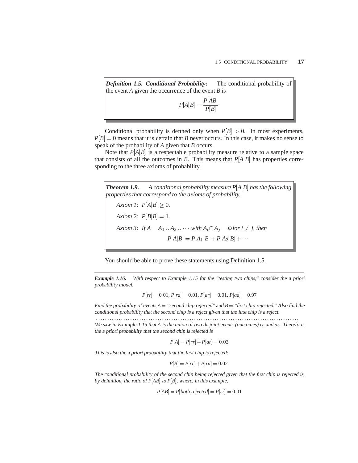*Definition 1.5. Conditional Probability:* The conditional probability of the event *A* given the occurrence of the event *B* is

$$
P[A|B] = \frac{P[AB]}{P[B]}
$$

Conditional probability is defined only when  $P[B] > 0$ . In most experiments,  $P[B] = 0$  means that it is certain that *B* never occurs. In this case, it makes no sense to speak of the probability of *A* given that *B* occurs.

Note that  $P[A|B]$  is a respectable probability measure relative to a sample space that consists of all the outcomes in *B*. This means that  $P[A|B]$  has properties corresponding to the three axioms of probability.

*Theorem 1.9.* A conditional probability measure  $P[A|B]$  has the following *properties that correspond to the axioms of probability.*

*Axiom 1:*  $P[A|B] \geq 0$ . *Axiom 2:*  $P[B|B] = 1$ . *Axiom 3:* If  $A = A_1 \cup A_2 \cup \cdots$  with  $A_i \cap A_j = \phi$  for  $i \neq j$ , then  $P[A|B] = P[A_1|B] + P[A_2|B] + \cdots$ 

You should be able to prove these statements using Definition 1.5.

*Example 1.16.* With respect to Example 1.15 for the "testing two chips," consider the <sup>a</sup> priori probability model:

$$
P[rr] = 0.01, P[ra] = 0.01, P[ar] = 0.01, P[aa] = 0.97
$$

Find the probability of events  $A =$  "second chip rejected" and  $B =$  "first chip rejected." Also find the conditional probability that the second chip is <sup>a</sup> reject given that the first chip is <sup>a</sup> reject.

.......................................................................................... We saw in Example 1.15 that *A* is the union of two disjoint events (outcomes) *rr* and *ar*. Therefore, the <sup>a</sup> priori probability that the second chip is rejected is

$$
P[A] = P[rr] + P[ar] = 0.02
$$

This is also the <sup>a</sup> priori probability that the first chip is rejected:

$$
P[B] = P[rr] + P[ra] = 0.02.
$$

The conditional probability of the second chip being rejected given that the first chip is rejected is, by definition, the ratio of  $P[AB]$  to  $P[B]$ , where, in this example,

$$
P[AB] = P[both rejected] = P[rr] = 0.01
$$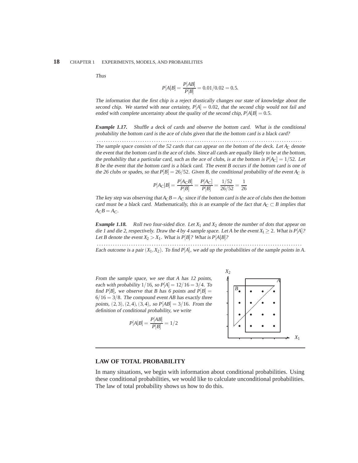Thus

$$
P[A|B] = \frac{P[AB]}{P[B]} = 0.01/0.02 = 0.5.
$$

The information that the first chip is <sup>a</sup> reject drastically changes our state of knowledge about the second chip. We started with near certainty,  $P[A] = 0.02$ , that the second chip would not fail and ended with complete uncertainty about the quality of the second chip,  $P[A|B] = 0.5$ .

*Example 1.17.* Shuffle <sup>a</sup> deck of cards and observe the bottom card. What is the conditional probability the bottom card is the ace of clubs given that the the bottom card is <sup>a</sup> black card?

..........................................................................................

The sample space consists of the 52 cards that can appear on the bottom of the deck. Let  $A_C$  denote the event that the bottom card is the ace of clubs. Since all cards are equally likely to be at the bottom, the probability that a particular card, such as the ace of clubs, is at the bottom is  $P[A_C] = 1/52$ . Let *B* be the event that the bottom card is <sup>a</sup> black card. The event *B* occurs if the bottom card is one of the 26 clubs or spades, so that  $P[B] = 26/52$ . Given *B*, the conditional probability of the event  $A_C$  is

$$
P[A_C|B] = \frac{P[A_C B]}{P[B]} = \frac{P[A_C]}{P[B]} = \frac{1/52}{26/52} = \frac{1}{26}
$$

The key step was observing that  $A_C B = A_C$  since if the bottom card is the ace of clubs then the bottom card must be a black card. Mathematically, this is an example of the fact that  $A_C \subset B$  implies that  $A_C B = A_C$ .

*Example 1.18.* Roll two four-sided dice. Let *X*<sup>1</sup> and *X*<sup>2</sup> denote the number of dots that appear on die 1 and die 2, respectively. Draw the 4 by 4 sample space. Let *A* be the event  $X_1 > 2$ . What is  $P[A]$ ? Let *B* denote the event  $X_2 > X_1$ . What is  $P[B]$ ? What is  $P[A|B]$ ?

.......................................................................................... Each outcome is a pair  $(X_1, X_2)$ . To find  $P[A]$ , we add up the probabilities of the sample points in A.

From the sample space, we see that *A* has <sup>12</sup> points, each with probability  $1/16$ , so  $P[A] = 12/16 = 3/4$ . To find *P*<sup> $[B]$ </sup>, we observe that *B* has 6 points and *P*<sup> $[B]$ </sup> =  $6/16 = 3/8$ . The compound event *AB* has exactly three points,  $(2, 3), (2, 4), (3, 4)$ , so  $P[AB] = 3/16$ . From the definition of conditional probability, we write

$$
P[A|B] = \frac{P[AB]}{P[B]} = 1/2
$$



#### **LAW OF TOTAL PROBABILITY**

In many situations, we begin with information about conditional probabilities. Using these conditional probabilities, we would like to calculate unconditional probabilities. The law of total probability shows us how to do this.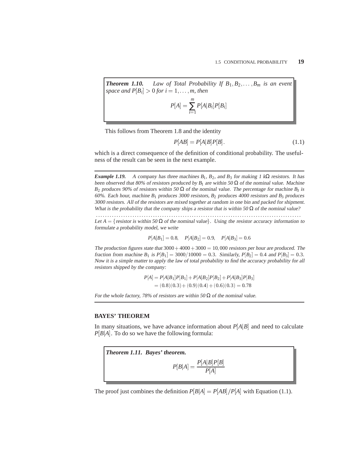*Theorem 1.10. Law of Total Probability If*  $B_1, B_2, \ldots, B_m$  *is an event space and*  $P[B_i] > 0$  *for*  $i = 1, \dots, m$ *, then* 

$$
P[A] = \sum_{i=1}^{m} P[A|B_i] P[B_i]
$$

This follows from Theorem 1.8 and the identity

$$
P[AB] = P[A|B]P[B]. \tag{1.1}
$$

which is a direct consequence of the definition of conditional probability. The usefulness of the result can be seen in the next example.

*Example 1.19.* A company has three machines  $B_1$ ,  $B_2$ , and  $B_3$  for making 1 k $\Omega$  resistors. It has been observed that 80% of resistors produced by  $B_1$  are within 50  $\Omega$  of the nominal value. Machine *B*<sub>2</sub> produces 90% of resistors within 50  $\Omega$  of the nominal value. The percentage for machine *B*<sub>3</sub> is 60%. Each hour, machine *B*<sup>1</sup> produces <sup>3000</sup> resistors, *B*<sup>2</sup> produces <sup>4000</sup> resistors and *B*<sup>3</sup> produces 3000 resistors. All of the resistors are mixed together at random in one bin and packed for shipment. What is the probability that the company ships a resistor that is within 50  $\Omega$  of the nominal value? ..........................................................................................

Let  $A = \{$ resistor is within 50  $\Omega$  of the nominal value $\}$ . Using the resistor accuracy information to formulate <sup>a</sup> probability model, we write

$$
P[A|B_1] = 0.8
$$
,  $P[A|B_2] = 0.9$ ,  $P[A|B_3] = 0.6$ 

The production figures state that  $3000 + 4000 + 3000 = 10,000$  resistors per hour are produced. The fraction from machine  $B_1$  is  $P[B_1] = 3000/10000 = 0.3$ . Similarly,  $P[B_2] = 0.4$  and  $P[B_3] = 0.3$ . Now it is <sup>a</sup> simple matter to apply the law of total probability to find the accuracy probability for all resistors shipped by the company:

> $P[A] = P[A|B_1]P[B_1] + P[A|B_2]P[B_2] + P[A|B_3]P[B_3]$  $= (0.8)(0.3) + (0.9)(0.4) + (0.6)(0.3) = 0.78$

For the whole factory, 78% of resistors are within 50  $\Omega$  of the nominal value.

#### **BAYES' THEOREM**

In many situations, we have advance information about  $P[A|B]$  and need to calculate  $P[B|A]$ . To do so we have the following formula:

*Theorem 1.11. Bayes' theorem.*  $P[B|A] = \frac{P[A|B]P[B]}{P[A]}$ 

The proof just combines the definition  $P[B|A] = P[AB]/P[A]$  with Equation (1.1).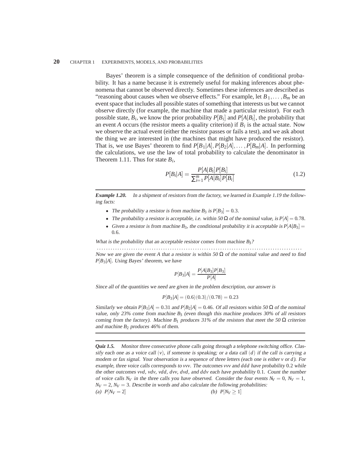#### **20** CHAPTER 1 EXPERIMENTS, MODELS, AND PROBABILITIES

Bayes' theorem is a simple consequence of the definition of conditional probability. It has a name because it is extremely useful for making inferences about phenomena that cannot be observed directly. Sometimes these inferences are described as "reasoning about causes when we observe effects." For example, let  $B_1, \ldots, B_m$  be an event space that includes all possible states of something that interests us but we cannot observe directly (for example, the machine that made a particular resistor). For each possible state,  $B_i$ , we know the prior probability  $P[B_i]$  and  $P[A|B_i]$ , the probability that an event *A* occurs (the resistor meets a quality criterion) if  $B_i$  is the actual state. Now we observe the actual event (either the resistor passes or fails a test), and we ask about the thing we are interested in (the machines that might have produced the resistor). That is, we use Bayes' theorem to find  $P[B_1|A], P[B_2|A], \ldots, P[B_m|A]$ . In performing the calculations, we use the law of total probability to calculate the denominator in Theorem 1.11. Thus for state *Bi*,

$$
P[B_i|A] = \frac{P[A|B_i]P[B_i]}{\sum_{i=1}^{m} P[A|B_i]P[B_i]}
$$
(1.2)

*Example 1.20.* In <sup>a</sup> shipment of resistors from the factory, we learned in Example 1.19 the following facts:

- The probability a resistor is from machine  $B_3$  is  $P[B_3] = 0.3$ .
- The probability a resistor is acceptable, i.e. within 50  $\Omega$  of the nominal value, is  $P[A] = 0.78$ .
- Given a resistor is from machine  $B_3$ , the conditional probability it is acceptable is  $P[A|B_3] =$  $0.6.$

What is the probability that an acceptable resistor comes from machine  $B_3$ ?

.......................................................................................... Now we are given the event *A* that a resistor is within 50  $\Omega$  of the nominal value and need to find  $P[B_3|A]$ . Using Bayes' theorem, we have

$$
P[B_3|A] = \frac{P[A|B_3]P[B_3]}{P[A]}
$$

Since all of the quantities we need are given in the problem description, our answer is

$$
P[B_3|A] = (0.6)(0.3)/(0.78) = 0.23
$$

Similarly we obtain  $P[B_1 | A] = 0.31$  and  $P[B_2 | A] = 0.46$ . Of all resistors within 50  $\Omega$  of the nominal value, only 23% come from machine  $B_3$  (even though this machine produces 30% of all resistors coming from the factory). Machine  $B_1$  produces 31% of the resistors that meet the 50  $\Omega$  criterion and machine  $B_2$  produces 46% of them.

*Quiz 1.5.* Monitor three consecutive phone calls going through <sup>a</sup> telephone switching office. Classify each one as a voice call  $(v)$ , if someone is speaking; or a data call  $(d)$  if the call is carrying a modem or fax signal. Your observation is a sequence of three letters (each one is either *v* or *d*). For example, three voice calls corresponds to *vvv*. The outcomes *vvv* and *ddd* have probability 02 while the other outcomes *vvd*, *vdv*, *vdd*, *dvv*, *dvd*, and *ddv* each have probability 01. Count the number of voice calls  $N_V$  in the three calls you have observed. Consider the four events  $N_V = 0$ ,  $N_V = 1$ ,  $N_V = 2$ ,  $N_V = 3$ . Describe in words and also calculate the following probabilities: (a)  $P[N_V = 2]$ (b)  $P[N_V \geq 1]$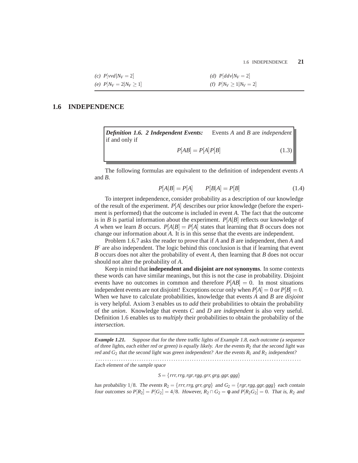| (c) $P[vvd N_V = 2]$         | (d) $P[ddv N_V = 2]$        |
|------------------------------|-----------------------------|
| (e) $P[N_V = 2   N_V \ge 1]$ | (f) $P N_V \geq 1 N_V = 2 $ |

## **1.6 INDEPENDENCE**

| if and only if | Definition 1.6. 2 Independent Events: |  | Events A and B are independent |
|----------------|---------------------------------------|--|--------------------------------|
|                | $P[AB] = P[A]P[B]$                    |  | (1.3)                          |

The following formulas are equivalent to the definition of independent events *A* and *B*.

$$
P[A|B] = P[A] \qquad P[B|A] = P[B] \tag{1.4}
$$

To interpret independence, consider probability as a description of our knowledge of the result of the experiment.  $P[A]$  describes our prior knowledge (before the experiment is performed) that the outcome is included in event *A*. The fact that the outcome is in *B* is partial information about the experiment.  $P[A|B]$  reflects our knowledge of *A* when we learn *B* occurs.  $P[A|B] = P[A]$  states that learning that *B* occurs does not change our information about *A*. It is in this sense that the events are independent.

Problem 1.6.7 asks the reader to prove that if *A* and *B* are independent, then *A* and *Bc* are also independent. The logic behind this conclusion is that if learning that event *B* occurs does not alter the probability of event *A*, then learning that *B* does not occur should not alter the probability of *A*.

Keep in mind that **independent and disjoint are** *not* **synonyms**. In some contexts these words can have similar meanings, but this is not the case in probability. Disjoint events have no outcomes in common and therefore  $P[AB] = 0$ . In most situations independent events are not disjoint! Exceptions occur only when  $P[A] = 0$  or  $P[B] = 0$ . When we have to calculate probabilities, knowledge that events *A* and *B* are *disjoint* is very helpful. Axiom 3 enables us to *add* their probabilities to obtain the probability of the *union*. Knowledge that events *C* and *D* are *independent* is also very useful. Definition 1.6 enables us to *multiply* their probabilities to obtain the probability of the *intersection*.

*Example 1.21.* Suppose that for the three traffic lights of Example 1.8, each outcome (a sequence of three lights, each either red or green) is equally likely. Are the events  $R_2$  that the second light was red and  $G_2$  that the second light was green independent? Are the events  $R_1$  and  $R_2$  independent?

.......................................................................................... Each element of the sample space

 $S = \{rrr, rrg, rgr, rgg, grr, grg, ggr, ggg\}$ 

has probability 1/8. The events  $R_2 = \{rrr, rrg, grr, grg\}$  and  $G_2 = \{rgr, rgg, ggr, ggg\}$  each contain four outcomes so  $P[R_2] = P[G_2] = 4/8$ . However,  $R_2 \cap G_2 = \emptyset$  and  $P[R_2 G_2] = 0$ . That is,  $R_2$  and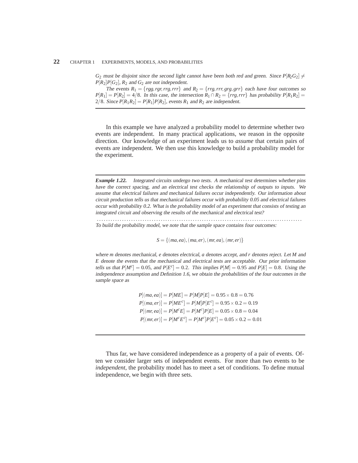#### **22** CHAPTER 1 EXPERIMENTS, MODELS, AND PROBABILITIES

*G*<sub>2</sub> must be disjoint since the second light cannot have been both red and green. Since  $P[R_2G_2] \neq$  $P[R_2]P[G_2]$ ,  $R_2$  and  $G_2$  are not independent.

The events  $R_1 = \{rgg, rgr, rrg, rrr\}$  and  $R_2 = \{rrg, rrr, grg, grr\}$  each have four outcomes so  $P[R_1] = P[R_2] = 4/8$ . In this case, the intersection  $R_1 \cap R_2 = \{rrg, rrr\}$  has probability  $P[R_1R_2] =$ 2/8. Since  $P[R_1R_2] = P[R_1]P[R_2]$ , events  $R_1$  and  $R_2$  are independent.

In this example we have analyzed a probability model to determine whether two events are independent. In many practical applications, we reason in the opposite direction. Our knowledge of an experiment leads us to *assume* that certain pairs of events are independent. We then use this knowledge to build a probability model for the experiment.

*Example 1.22.* Integrated circuits undergo two tests. <sup>A</sup> mechanical test determines whether pins have the correct spacing, and an electrical test checks the relationship of outputs to inputs. We assume that electrical failures and mechanical failures occur independently. Our information about circuit production tells us that mechanical failures occur with probability 0.05 and electrical failures occur with probability 0.2. What is the probability model of an experiment that consists of testing an integrated circuit and observing the results of the mechanical and electrical test?

..........................................................................................

To build the probability model, we note that the sample space contains four outcomes:

 $S = \{ (ma, ea), (ma, er), (mr, ea), (mr, er) \}$ 

where *m* denotes mechanical, *e* denotes electrical, *a* denotes accept, and *r* denotes reject. Let *M* and *E* denote the events that the mechanical and electrical tests are acceptable. Our prior information tells us that  $P[M^c] = 0.05$ , and  $P[E^c] = 0.2$ . This implies  $P[M] = 0.95$  and  $P[E] = 0.8$ . Using the independence assumption and Definition 1.6, we obtain the probabilities of the four outcomes in the sample space as

> $P[(ma, ea)] = P[ME] = P[M]P[E] = 0.95 \times 0.8 = 0.76$  $P[$ *(ma, er*) $] = P[ME^c] = P[M]P[E^c] = 0.95 \times 0.2 = 0.19$  $P[(mr,ea)] = P[M<sup>c</sup>E] = P[M<sup>c</sup>]P[E] = 0.05 \times 0.8 = 0.04$  $P[ (mr, er) ] = P[ M^c E^c ] = P[ M^c | P[E^c] = 0.05 \times 0.2 = 0.01$

Thus far, we have considered independence as a property of a pair of events. Often we consider larger sets of independent events. For more than two events to be *independent*, the probability model has to meet a set of conditions. To define mutual independence, we begin with three sets.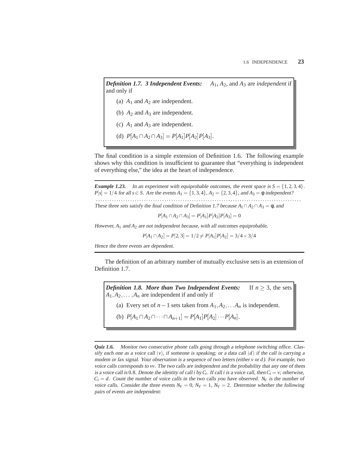*Definition 1.7. 3 Independent Events: A*1, *A*2, and *A*<sup>3</sup> are *independent* if and only if

- (a)  $A_1$  and  $A_2$  are independent.
- (b) *A*<sup>2</sup> and *A*<sup>3</sup> are independent.
- (c)  $A_1$  and  $A_3$  are independent.
- (d)  $P[A_1 \cap A_2 \cap A_3] = P[A_1]P[A_2]P[A_3].$

The final condition is a simple extension of Definition 1.6. The following example shows why this condition is insufficient to guarantee that "everything is independent of everything else," the idea at the heart of independence.

*Example 1.23.* In an experiment with equiprobable outcomes, the event space is  $S = \{1, 2, 3, 4\}$ .  $P[s] = 1/4$  for all  $s \in S$ . Are the events  $A_1 = \{1, 3, 4\}$ ,  $A_2 = \{2, 3, 4\}$ , and  $A_3 = \phi$  independent? .......................................................................................... These three sets satisfy the final condition of Definition 1.7 because  $A_1 \cap A_2 \cap A_3 = \emptyset$ , and

$$
P[A_1 \cap A_2 \cap A_3] = P[A_1]P[A_2]P[A_3] = 0
$$

However,  $A_1$  and  $A_2$  are not independent because, with all outcomes equiprobable,

 $P[A_1 \cap A_2] = P[2,3] = 1/2 \neq P[A_1]P[A_2] = 3/4 \times 3/4$ 

Hence the three events are dependent.

The definition of an arbitrary number of mutually exclusive sets is an extension of Definition 1.7.

*Definition 1.8. More than Two Independent Events:* If  $n \geq 3$ , the sets  $A_1, A_2, \ldots, A_n$  are independent if and only if

- (a) Every set of  $n-1$  sets taken from  $A_1, A_2, \ldots, A_n$  is independent.
- (b)  $P[A_1 \cap A_2 \cap \cdots \cap A_{n+1}] = P[A_1]P[A_2] \cdots P[A_n].$

*Quiz 1.6.* Monitor two consecutive phone calls going through <sup>a</sup> telephone switching office. Classify each one as a voice call  $(v)$ , if someone is speaking; or a data call  $(d)$  if the call is carrying a modem or fax signal. Your observation is <sup>a</sup> sequence of two letters (either *v* or *d*). For example, two voice calls corresponds to *vv*. The two calls are independent and the probability that any one of them is a voice call is 0.8. Denote the identity of call *i* by  $C_i$ . If call *i* is a voice call, then  $C_i = v$ ; otherwise,  $C_i = d$ . Count the number of voice calls in the two calls you have observed. *N<sub>V</sub>* is the number of voice calls. Consider the three events  $N_V = 0$ ,  $N_V = 1$ ,  $N_V = 2$ . Determine whether the following pairs of events are independent: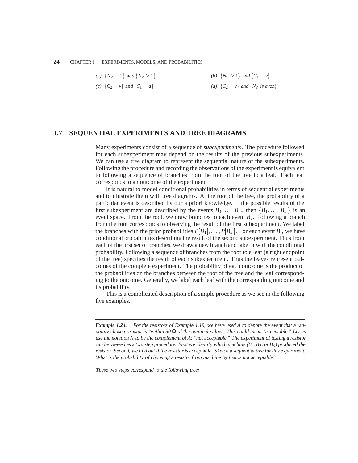#### **24** CHAPTER 1 EXPERIMENTS, MODELS, AND PROBABILITIES

| (a) $\{N_V = 2\}$ and $\{N_V \geq 1\}$ | (b) $\{N_V \geq 1\}$ and $\{C_1 = v\}$ |
|----------------------------------------|----------------------------------------|
| (c) $\{C_2 = v\}$ and $\{C_1 = d\}$    | (d) $\{C_2 = v\}$ and $\{N_V$ is even  |

### **1.7 SEQUENTIAL EXPERIMENTS AND TREE DIAGRAMS**

Many experiments consist of a sequence of *subexperiments*. The procedure followed for each subexperiment may depend on the results of the previous subexperiments. We can use a tree diagram to represent the sequential nature of the subexperiments. Following the procedure and recording the observations of the experiment is equivalent to following a sequence of branches from the root of the tree to a leaf. Each leaf corresponds to an outcome of the experiment.

It is natural to model conditional probabilities in terms of sequential experiments and to illustrate them with tree diagrams. At the root of the tree, the probability of a particular event is described by our a priori knowledge. If the possible results of the first subexperiment are described by the events  $B_1, \ldots, B_m$ , then  $\{B_1, \ldots, B_m\}$  is an event space. From the root, we draw branches to each event *Bi*. Following a branch from the root corresponds to observing the result of the first subexperiment. We label the branches with the prior probabilities  $P[B_1], \ldots, P[B_m]$ . For each event  $B_i$ , we have conditional probabilities describing the result of the second subexperiment. Thus from each of the first set of branches, we draw a new branch and label it with the conditional probability. Following a sequence of branches from the root to a leaf (a right endpoint of the tree) specifies the result of each subexperiment. Thus the leaves represent outcomes of the complete experiment. The probability of each outcome is the product of the probabilities on the branches between the root of the tree and the leaf corresponding to the outcome. Generally, we label each leaf with the corresponding outcome and its probability.

This is a complicated description of a simple procedure as we see in the following five examples.

..........................................................................................

*Example 1.24.* For the resistors of Example 1.19, we have used *A* to denote the event that <sup>a</sup> randomly chosen resistor is "within 50  $\Omega$  of the nominal value." This could mean "acceptable." Let us use the notation *N* to be the complement of *A*: "not acceptable." The experiment of testing <sup>a</sup> resistor can be viewed as <sup>a</sup> two step procedure. First we identify which machine (*B*1, *B*2, or *B*3) produced the resistor. Second, we find out if the resistor is acceptable. Sketch <sup>a</sup> sequential tree for this experiment. What is the probability of choosing a resistor from machine  $B_2$  that is not acceptable?

These two steps correspond to the following tree: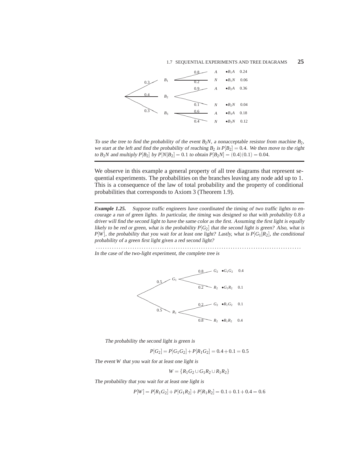#### 1.7 SEQUENTIAL EXPERIMENTS AND TREE DIAGRAMS **25**



To use the tree to find the probability of the event  $B_2N$ , a nonacceptable resistor from machine  $B_2$ , we start at the left and find the probability of reaching  $B_2$  is  $P[B_2] = 0.4$ . We then move to the right to  $B_2N$  and multiply  $P[B_2]$  by  $P[N|B_2] = 0.1$  to obtain  $P[B_2N] = (0.4)(0.1) = 0.04$ .

We observe in this example a general property of all tree diagrams that represent sequential experiments. The probabilities on the branches leaving any node add up to 1. This is a consequence of the law of total probability and the property of conditional probabilities that corresponds to Axiom 3 (Theorem 1.9).

**Example 1.25.** Suppose traffic engineers have coordinated the timing of two traffic lights to encourage <sup>a</sup> run of green lights. In particular, the timing was designed so that with probability 08 <sup>a</sup> driver will find the second light to have the same color as the first. Assuming the first light is equally likely to be red or green, what is the probability  $P[G_2]$  that the second light is green? Also, what is *P*<sup>*W*</sup> , the probability that you wait for at least one light? Lastly, what is  $P$ *G*<sub>1</sub>  $R$ <sub>2</sub>, the conditional probability of <sup>a</sup> green first light given <sup>a</sup> red second light?

..........................................................................................

In the case of the two-light experiment, the complete tree is



The probability the second light is green is

$$
P[G_2] = P[G_1G_2] + P[R_1G_2] = 0.4 + 0.1 = 0.5
$$

The event *W* that you wait for at least one light is

$$
W = \{R_1G_2 \cup G_1R_2 \cup R_1R_2\}
$$

The probability that you wait for at least one light is

$$
P[W] = P[R_1G_2] + P[G_1R_2] + P[R_1R_2] = 0.1 + 0.1 + 0.4 = 0.6
$$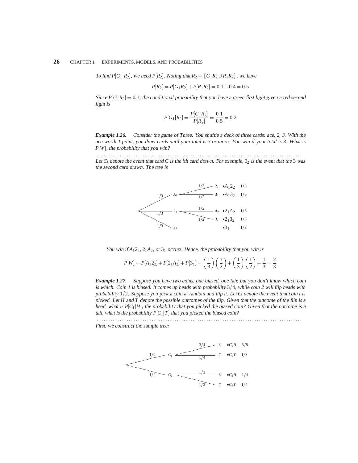To find  $P[G_1 | R_2]$ , we need  $P[R_2]$ . Noting that  $R_2 = \{G_1 R_2 \cup R_1 R_2\}$ , we have

$$
P[R_2] = P[G_1 R_2] + P[R_1 R_2] = 0.1 + 0.4 = 0.5
$$

Since  $P[G_1R_2] = 0.1$ , the conditional probability that you have a green first light given a red second light is

$$
P[G_1|R_2] = \frac{P[G_1R_2]}{P[R_2]} = \frac{0.1}{0.5} = 0.2
$$

*Example 1.26.* Consider the game of Three. You shuffle <sup>a</sup> deck of three cards: ace, 2, 3. With the ace worth 1 point, you draw cards until your total is 3 or more. You win if your total is 3. What is *P*<sup>*W*</sup>*l*, the probability that you win?

.......................................................................................... Let  $C_i$  denote the event that card  $C$  is the *i*th card drawn. For example,  $3_2$  is the event that the 3 was the second card drawn. The tree is



You win if  $A_12_2$ ,  $2_1A_2$ , or  $3_1$  occurs. Hence, the probability that you win is

$$
P[W] = P[A_1 2_2] + P[2_1 A_2] + P[3_1] = \left(\frac{1}{3}\right)\left(\frac{1}{2}\right) + \left(\frac{1}{3}\right)\left(\frac{1}{2}\right) + \frac{1}{3} = \frac{2}{3}
$$

*Example 1.27.* Suppose you have two coins, one biased, one fair, but you don't know which coin is which. Coin 1 is biased. It comes up heads with probability  $3/4$ , while coin 2 will flip heads with probability 12. Suppose you pick <sup>a</sup> coin at random and flip it. Let *Ci* denote the event that coin *i* is picked. Let *H* and *T* denote the possible outcomes of the flip. Given that the outcome of the flip is <sup>a</sup> head, what is  $P[C_1|H]$ , the probability that you picked the biased coin? Given that the outcome is a tail, what is the probability  $P[C_1 | T]$  that you picked the biased coin?

..........................................................................................

First, we construct the sample tree:

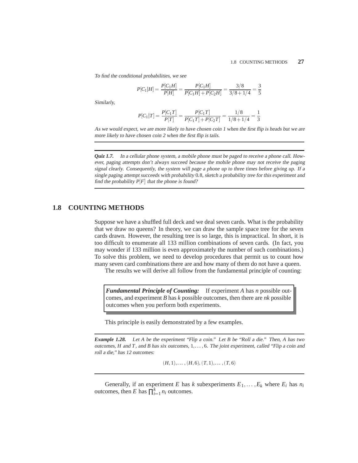#### 1.8 COUNTING METHODS **27**

To find the conditional probabilities, we see

$$
P[C_1|H] = \frac{P[C_1H]}{P[H]} = \frac{P[C_1H]}{P[C_1H] + P[C_2H]} = \frac{3/8}{3/8 + 1/4} = \frac{3}{5}
$$

Similarly,

$$
P[C_1|T] = \frac{P[C_1T]}{P[T]} = \frac{P[C_1T]}{P[C_1T] + P[C_2T]} = \frac{1/8}{1/8 + 1/4} = \frac{1}{3}
$$

As we would expect, we are more likely to have chosen coin 1 when the first flip is heads but we are more likely to have chosen coin 2 when the first flip is tails.

*Quiz 1.7.* In a cellular phone system, a mobile phone must be paged to receive a phone call. However, paging attempts don't always succeed because the mobile phone may not receive the paging signal clearly. Consequently, the system will page <sup>a</sup> phone up to three times before giving up. If <sup>a</sup> single paging attempt succeeds with probability 08, sketch <sup>a</sup> probability tree for this experiment and find the probability  $P[F]$  that the phone is found?

## **1.8 COUNTING METHODS**

Suppose we have a shuffled full deck and we deal seven cards. What is the probability that we draw no queens? In theory, we can draw the sample space tree for the seven cards drawn. However, the resulting tree is so large, this is impractical. In short, it is too difficult to enumerate all 133 million combinations of seven cards. (In fact, you may wonder if 133 million is even approximately the number of such combinations.) To solve this problem, we need to develop procedures that permit us to count how many seven card combinations there are and how many of them do not have a queen.

The results we will derive all follow from the fundamental principle of counting:

*Fundamental Principle of Counting:* If experiment *A* has *n* possible outcomes, and experiment *B* has *k* possible outcomes, then there are *nk* possible outcomes when you perform both experiments.

This principle is easily demonstrated by a few examples.

*Example 1.28.* Let *A* be the experiment "Flip <sup>a</sup> coin." Let *B* be "Roll <sup>a</sup> die." Then, *A* has two outcomes,  $H$  and  $T$ , and  $B$  has six outcomes,  $1, \ldots, 6$ . The joint experiment, called "Flip a coin and roll <sup>a</sup> die," has 12 outcomes:

 $(H, 1), \ldots, (H, 6), (T, 1), \ldots, (T, 6)$ 

Generally, if an experiment *E* has *k* subexperiments  $E_1, \ldots, E_k$  where  $E_i$  has  $n_i$ outcomes, then *E* has  $\prod_{i=1}^{k} n_i$  outcomes.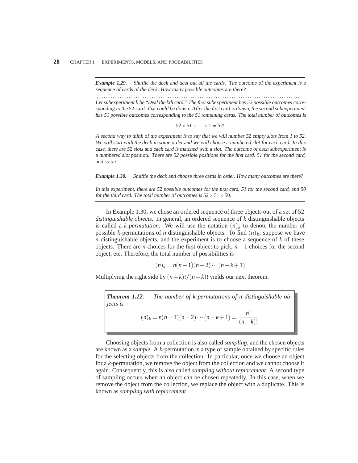*Example 1.29.* Shuffle the deck and deal out all the cards. The outcome of the experiment is <sup>a</sup> sequence of cards of the deck. How many possible outcomes are there?

..........................................................................................

Let subexperiment *k* be "Deal the *k*th card." The first subexperiment has <sup>52</sup> possible outcomes corresponding to the 52 cards that could be drawn. After the first card is drawn, the second subexperiment has 51 possible outcomes corresponding to the 51 remaining cards. The total number of outcomes is

 $52 \times 51 \times \cdots \times 1 = 52!$ 

A second way to think of the experiment is to say that we will number 52 empty slots from 1 to 52. We will start with the deck in some order and we will choose <sup>a</sup> numbered slot for each card. In this case, there are 52 slots and each card is matched with <sup>a</sup> slot. The outcome of each subexperiment is <sup>a</sup> numbered slot position. There are <sup>52</sup> possible positions for the first card, <sup>51</sup> for the second card, and so on.

**Example 1.30.** Shuffle the deck and choose three cards in order. How many outcomes are there?

.......................................................................................... In this experiment, there are 52 possible outcomes for the first card, 51 for the second card, and 50 for the third card. The total number of outcomes is  $52 \times 51 \times 50$ .

In Example 1.30, we chose an ordered sequence of three objects out of a set of 52 *distinguishable objects*. In general, an ordered sequence of *k* distinguishable objects is called a *k*-*permutation*. We will use the notation  $(n)_k$  to denote the number of possible *k*-permutations of *n* distinguishable objects. To find  $(n)_k$ , suppose we have *n* distinguishable objects, and the experiment is to choose a sequence of *k* of these objects. There are *n* choices for the first object to pick,  $n - 1$  choices for the second object, etc. Therefore, the total number of possibilities is

$$
(n)_k = n(n-1)(n-2)\cdots(n-k+1)
$$

Multiplying the right side by  $(n - k)!/(n - k)!$  yields our next theorem.

*Theorem 1.12. The number of k-permutations of n distinguishable objects is*  $(n)_k = n(n-1)(n-2)\cdots(n-k+1) = \frac{n!}{(n-k)!}$ 

Choosing objects from a collection is also called *sampling*, and the chosen objects are known as a *sample*. A *k*-permutation is a type of sample obtained by specific rules for the selecting objects from the collection. In particular, once we choose an object for a *k*-permutation, we remove the object from the collection and we cannot choose it again. Consequently, this is also called *sampling without replacement*. A second type of sampling occurs when an object can be chosen repeatedly. In this case, when we remove the object from the collection, we replace the object with a duplicate. This is known as *sampling with replacement*.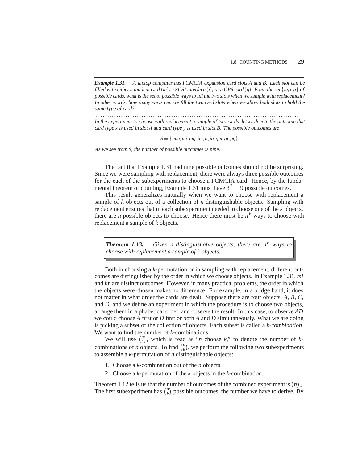*Example 1.31.* <sup>A</sup> laptop computer has PCMCIA expansion card slots *A* and *B*. Each slot can be filled with either a modem card  $(m)$ , a SCSI interface  $(i)$ , or a GPS card  $(g)$ . From the set  $\{m, i, g\}$  of possible cards, what is the set of possible ways to fill the two slots when we sample with replacement? In other words, how many ways can we fill the two card slots when we allow both slots to hold the same type of card?

.......................................................................................... In the experiment to choose with replacement <sup>a</sup> sample of two cards, let *xy* denote the outcome that card type *x* is used in slot *A* and card type *y* is used in slot *B*. The possible outcomes are

 $S = \{mm, mi, mg, im, ii, ig, gm, gi, gg\}$ 

As we see from *S*, the number of possible outcomes is nine.

The fact that Example 1.31 had nine possible outcomes should not be surprising. Since we were sampling with replacement, there were always three possible outcomes for the each of the subexperiments to choose a PCMCIA card. Hence, by the fundamental theorem of counting, Example 1.31 must have  $3^2 = 9$  possible outcomes.

This result generalizes naturally when we want to choose with replacement a sample of *k* objects out of a collection of *n* distinguishable objects. Sampling with replacement ensures that in each subexperiment needed to choose one of the *k* objects, there are *n* possible objects to choose. Hence there must be  $n^k$  ways to choose with replacement a sample of *k* objects.

*Theorem 1.13. Given n distinguishable objects, there are n<sup>k</sup> ways to choose with replacement a sample of k objects.*

Both in choosing a *k*-permutation or in sampling with replacement, different outcomes are distinguished by the order in which we choose objects. In Example 1.31, *mi* and *im* are distinct outcomes. However, in many practical problems, the order in which the objects were chosen makes no difference. For example, in a bridge hand, it does not matter in what order the cards are dealt. Suppose there are four objects, *A*, *B*, *C*, and *D*, and we define an experiment in which the procedure is to choose two objects, arrange them in alphabetical order, and observe the result. In this case, to observe *AD* we could choose *A* first or *D* first or both *A* and *D* simultaneously. What we are doing is picking a subset of the collection of objects. Each subset is called a *k-combination*. We want to find the number of *k*-combinations.

We will use  $\binom{n}{k}$ , which is read as "*n* choose *k*," to denote the number of *k*combinations of *n* objects. To find  $\binom{n}{k}$ , we perform the following two subexperiments to assemble a *k*-permutation of *n* distinguishable objects:

- 1. Choose a *k*-combination out of the *n* objects.
- 2. Choose a *k*-permutation of the *k* objects in the *k*-combination.

Theorem 1.12 tells us that the number of outcomes of the combined experiment is  $(n)_k$ . The first subexperiment has  $\binom{n}{k}$  possible outcomes, the number we have to derive. By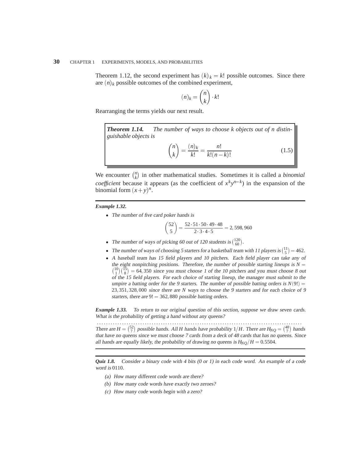#### **30** CHAPTER 1 EXPERIMENTS, MODELS, AND PROBABILITIES

Theorem 1.12, the second experiment has  $(k)_k = k!$  possible outcomes. Since there are  $(n)_k$  possible outcomes of the combined experiment,

$$
(n)_k = \binom{n}{k} \cdot k!
$$

Rearranging the terms yields our next result.

*Theorem 1.14. The number of ways to choose k objects out of n distinguishable objects is*  $\binom{n}{k} = \frac{(n)_k}{k!} = \frac{n!}{k!(n-1)!}$  $k!$   $k!(n-k)!$ *n*!  $\frac{n!}{k!(n-k)!}$  (1.5)

We encounter  $\binom{n}{k}$  in other mathematical studies. Sometimes it is called a *binomial coefficient* because it appears (as the coefficient of  $x^k y^{n-k}$ ) in the expansion of the binomial form  $(x + y)^n$ .

*Example 1.32.*

• The number of five card poker hands is

$$
\binom{52}{5} = \frac{52 \cdot 51 \cdot 50 \cdot 49 \cdot 48}{2 \cdot 3 \cdot 4 \cdot 5} = 2,598,960
$$

- The number of ways of picking 60 out of 120 students is  $\binom{120}{60}$ .
- The number of ways of choosing 5 starters for a basketball team with 11 players is  $\binom{11}{5} = 462$ .
- A baseball team has 15 field players and 10 pitchers. Each field player can take any of the eight nonpitching positions. Therefore, the number of possible starting lineups is  $N =$  $\binom{10}{1}\binom{15}{8}$  = 64,350 since you must choose 1 of the 10 pitchers and you must choose 8 out of the 15 field players. For each choice of starting lineup, the manager must submit to the umpire a batting order for the 9 starters. The number of possible batting orders is  $N(9!)$  = 23 351 328 000 since there are *N* ways to choose the <sup>9</sup> starters and for each choice of <sup>9</sup> starters, there are  $9! = 362,880$  possible batting orders.

**Example 1.33.** To return to our original question of this section, suppose we draw seven cards. What is the probability of getting a hand without any queens?

.......................................................................................... There are  $H = \binom{52}{7}$  possible hands. All *H* hands have probability 1/*H*. There are  $H_{NQ} = \binom{48}{7}$  hands that have no queens since we must choose 7 cards from a deck of 48 cards that has no queens. Since all hands are equally likely, the probability of drawing no queens is  $H_{NQ}/H = 0.5504$ .

*Quiz 1.8.* Consider <sup>a</sup> binary code with <sup>4</sup> bits (0 or 1) in each code word. An example of <sup>a</sup> code word is 0110.

- (a) How many different code words are there?
- (b) How many code words have exactly two zeroes?
- (c) How many code words begin with <sup>a</sup> zero?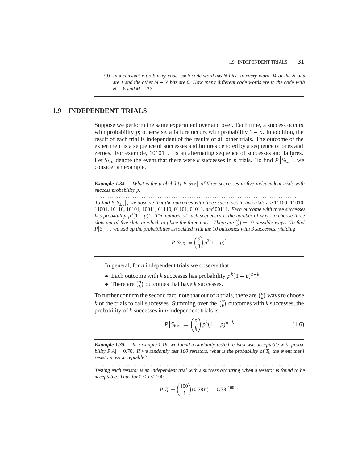(d) In <sup>a</sup> constant ratio binary code, each code word has *N* bits. In every word, *M* of the *N* bits are 1 and the other  $M - N$  bits are 0. How many different code words are in the code with  $N = 8$  and  $M = 3$ ?

## **1.9 INDEPENDENT TRIALS**

Suppose we perform the same experiment over and over. Each time, a success occurs with probability *p*; otherwise, a failure occurs with probability  $1 - p$ . In addition, the result of each trial is independent of the results of all other trials. The outcome of the experiment is a sequence of successes and failures denoted by a sequence of ones and zeroes. For example,  $10101...$  is an alternating sequence of successes and failures. Let  $S_{k,n}$  denote the event that there were *k* successes in *n* trials. To find  $P[S_{k,n}]$ , we consider an example.

*Example 1.34.* What is the probability  $P[S_{3,5}]$  of three successes in five independent trials with success probability *p*.

.......................................................................................... To find  $P[S_{3,5}]$ , we observe that the outcomes with three successes in five trials are 11100, 11010, 11001, 10110, 10101, 10011, 01110, 01101, 01011, and 00111. Each outcome with three successes has probability  $p^3(1-p)^2$ . The number of such sequences is the number of ways to choose three slots out of five slots in which to place the three ones. There are  $\binom{5}{3} = 10$  possible ways. To find  $P[S_{3,5}]$ , we add up the probabilities associated with the 10 outcomes with 3 successes, yielding

$$
P[S_{3,5}] = {5 \choose 3} p^3 (1-p)^2
$$

In general, for *n* independent trials we observe that

- Each outcome with *k* successes has probability  $p^k(1-p)^{n-k}$ .
- There are  $\binom{n}{k}$  outcomes that have *k* successes.

To further confirm the second fact, note that out of *n* trials, there are  $\binom{n}{k}$  ways to choose *k* of the trials to call successes. Summing over the  $\binom{n}{k}$  outcomes with *k* successes, the probability of *k* successes in *n* independent trials is

-

$$
P[S_{k,n}] = \binom{n}{k} p^k (1-p)^{n-k}
$$
 (1.6)

*Example 1.35.* In Example 1.19, we found <sup>a</sup> randomly tested resistor was acceptable with probability  $P[A] = 0.78$ . If we randomly test 100 resistors, what is the probability of  $T_i$ , the event that *i* resistors test acceptable?

.......................................................................................... Testing each resistor is an independent trial with <sup>a</sup> success occurring when <sup>a</sup> resistor is found to be acceptable. Thus for  $0 \le i \le 100$ ,

$$
P[T_i] = {100 \choose i} (0.78)^i (1 - 0.78)^{100 - i}
$$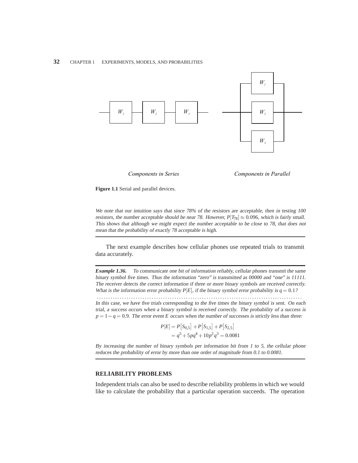#### **32** CHAPTER 1 EXPERIMENTS, MODELS, AND PROBABILITIES



#### *Components in Series Components in Parallel*

**Figure 1.1** Serial and parallel devices.

We note that our intuition says that since 78% of the resistors are acceptable, then in testing 100 resistors, the number acceptable should be near 78. However,  $P[T_78] \approx 0.096$ , which is fairly small. This shows that although we might expect the number acceptable to be close to 78, that does not mean that the probability of exactly 78 acceptable is high.

The next example describes how cellular phones use repeated trials to transmit data accurately.

*Example 1.36.* To communicate one bit of information reliably, cellular phones transmit the same binary symbol five times. Thus the information "zero" is transmitted as 00000 and "one" is 11111. The receiver detects the correct information if three or more binary symbols are received correctly. What is the information error probability  $P[E]$ , if the binary symbol error probability is  $q = 0.1$ ?

.......................................................................................... In this case, we have five trials corresponding to the five times the binary symbol is sent. On each trial, <sup>a</sup> success occurs when <sup>a</sup> binary symbol is received correctly. The probability of <sup>a</sup> success is  $p = 1 - q = 0.9$ . The error event *E* occurs when the number of successes is strictly less than three:

$$
P[E] = P[S_{0,5}] + P[S_{1,5}] + P[S_{2,5}]
$$
  
=  $q^5 + 5pq^4 + 10p^2q^3 = 0.0081$ 

By increasing the number of binary symbols per information bit from 1 to 5, the cellular phone reduces the probability of error by more than one order of magnitude from 0.1 to 0.0081.

#### **RELIABILITY PROBLEMS**

Independent trials can also be used to describe reliability problems in which we would like to calculate the probability that a particular operation succeeds. The operation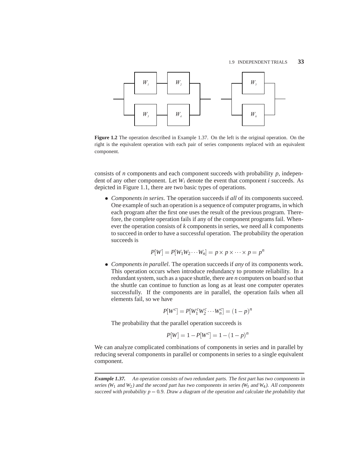

**Figure 1.2** The operation described in Example 1.37. On the left is the original operation. On the right is the equivalent operation with each pair of series components replaced with an equivalent component.

consists of *n* components and each component succeeds with probability *p*, independent of any other component. Let  $W_i$  denote the event that component  $i$  succeeds. As depicted in Figure 1.1, there are two basic types of operations.

 *Components in series*. The operation succeeds if *all* of its components succeed. One example of such an operation is a sequence of computer programs, in which each program after the first one uses the result of the previous program. Therefore, the complete operation fails if any of the component programs fail. Whenever the operation consists of *k* components in series, we need all *k* components to succeed in order to have a successful operation. The probability the operation succeeds is

$$
P[W] = P[W_1 W_2 \cdots W_n] = p \times p \times \cdots \times p = p^n
$$

 *Components in parallel*. The operation succeeds if *any* of its components work. This operation occurs when introduce redundancy to promote reliability. In a redundant system, such as a space shuttle, there are *n* computers on board so that the shuttle can continue to function as long as at least one computer operates successfully. If the components are in parallel, the operation fails when all elements fail, so we have

$$
P[W^{c}] = P[W_1^{c}W_2^{c} \cdots W_n^{c}] = (1 - p)^n
$$

The probability that the parallel operation succeeds is

$$
P[W] = 1 - P[W^c] = 1 - (1 - p)^n
$$

We can analyze complicated combinations of components in series and in parallel by reducing several components in parallel or components in series to a single equivalent component.

*Example 1.37.* An operation consists of two redundant parts. The first part has two components in series (*W*<sup>1</sup> and *W*2) and the second part has two components in series (*W*<sup>3</sup> and *W*4). All components succeed with probability  $p = 0.9$ . Draw a diagram of the operation and calculate the probability that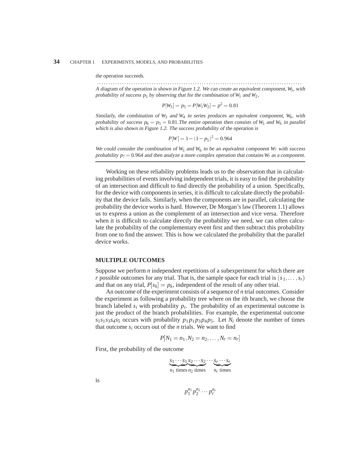#### **34** CHAPTER 1 EXPERIMENTS, MODELS, AND PROBABILITIES

the operation succeeds.

.......................................................................................... <sup>A</sup> diagram of the operation is shown in Figure 1.2. We can create an equivalent component, *W*5, with probability of success  $p_5$  by observing that for the combination of  $W_1$  and  $W_2$ ,

$$
P[W_5] = p_5 = P[W_1 W_2] = p^2 = 0.81
$$

Similarly, the combination of  $W_3$  and  $W_4$  in series produces an equivalent component,  $W_6$ , with probability of success  $p_6 = p_5 = 0.81$ . The entire operation then consists of *W*<sub>5</sub> and *W*<sub>6</sub> in parallel which is also shown in Figure 1.2. The success probability of the operation is

$$
P[W] = 1 - (1 - p_5)^2 = 0.964
$$

We could consider the combination of  $W_5$  and  $W_6$  to be an equivalent component  $W_7$  with success probability  $p_7 = 0.964$  and then analyze a more complex operation that contains *W*<sub>7</sub> as a component.

Working on these reliability problems leads us to the observation that in calculating probabilities of events involving independent trials, it is easy to find the probability of an intersection and difficult to find directly the probability of a union. Specifically, for the device with components in series, it is difficult to calculate directly the probability that the device fails. Similarly, when the components are in parallel, calculating the probability the device works is hard. However, De Morgan's law (Theorem 1.1) allows us to express a union as the complement of an intersection and vice versa. Therefore when it is difficult to calculate directly the probability we need, we can often calculate the probability of the complementary event first and then subtract this probability from one to find the answer. This is how we calculated the probability that the parallel device works.

## **MULTIPLE OUTCOMES**

Suppose we perform *n* independent repetitions of a subexperiment for which there are *r* possible outcomes for any trial. That is, the sample space for each trial is  $(s_1, \ldots, s_r)$ and that on any trial,  $P[s_k] = p_k$ , independent of the result of any other trial.

An outcome of the experiment consists of a sequence of *n* trial outcomes. Consider the experiment as following a probability tree where on the *i*th branch, we choose the branch labeled  $s_i$  with probability  $p_i$ . The probability of an experimental outcome is just the product of the branch probabilities. For example, the experimental outcome  $s_1 s_1 s_3 s_4 s_5$  occurs with probability  $p_1 p_1 p_3 p_4 p_5$ . Let  $N_i$  denote the number of times that outcome *si* occurs out of the *n* trials. We want to find

$$
P[N_1 = n_1, N_2 = n_2, \ldots, N_r = n_r]
$$

First, the probability of the outcome

$$
\underbrace{s_1 \cdots s_1}_{n_1 \text{ times}} \underbrace{s_2 \cdots s_2}_{n_2 \text{ times}} \underbrace{\cdots \cdots s_r}_{n_r \text{ times}}
$$

is

$$
p_1^{n_1}p_2^{n_2}\cdots p_r^{n_r}
$$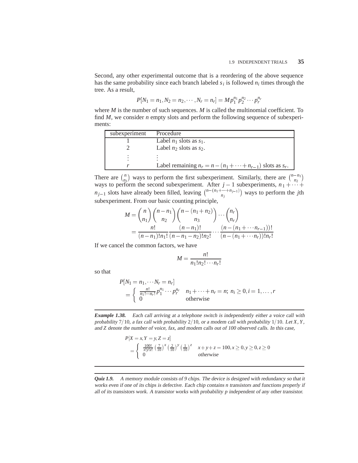Second, any other experimental outcome that is a reordering of the above sequence has the same probability since each branch labeled  $s_i$  is followed  $n_i$  times through the tree. As a result,

$$
P[N_1 = n_1, N_2 = n_2, \cdots, N_r = n_r] = M p_1^{n_1} p_2^{n_2} \cdots p_r^{n_r}
$$

where *M* is the number of such sequences. *M* is called the multinomial coefficient. To find *M*, we consider *n* empty slots and perform the following sequence of subexperiments:

| subexperiment | Procedure                                                             |
|---------------|-----------------------------------------------------------------------|
|               | Label $n_1$ slots as $s_1$ .                                          |
|               | Label $n_2$ slots as $s_2$ .                                          |
|               |                                                                       |
|               | Label remaining $n_r = n - (n_1 + \cdots + n_{r-1})$ slots as $s_r$ . |

There are  $\binom{n}{n_1}$  ways to perform the first subexperiment. Similarly, there are  $\binom{n-n_1}{n_2}$ ways to perform the second subexperiment. After  $j-1$  subexperiments,  $n_1 + \cdots +$  $n_{j-1}$  slots have already been filled, leaving  $\binom{n-(n_1+\cdots+n_{j-1})}{n_j}$  ways to perform the *j*th subexperiment. From our basic counting principle,

$$
M = {n \choose n_1} {n - n_1 \choose n_2} {n - (n_1 + n_2) \choose n_3} \cdots {n_r \choose n_r}
$$
  
= 
$$
\frac{n!}{(n - n_1)! n_1!} \frac{(n - n_1)!}{(n - n_1 - n_2)! n_2!} \cdots \frac{(n - (n_1 + \cdots + n_{r-1}))!}{(n - (n_1 + \cdots + n_r))! n_r!}
$$

If we cancel the common factors, we have

$$
M = \frac{n!}{n_1! n_2! \cdots n_r!}
$$

so that

$$
P[N_1 = n_1, \cdots N_r = n_r]
$$
  
= 
$$
\begin{cases} \frac{n!}{n_1! \cdots n_r!} p_1^{n_1} \cdots p_r^{n_r} & n_1 + \cdots + n_r = n; \ n_i \ge 0, i = 1, \dots, r \\ 0 & \text{otherwise} \end{cases}
$$

*Example 1.38.* Each call arriving at <sup>a</sup> telephone switch is independently either <sup>a</sup> voice call with probability 7/10, a fax call with probability 2/10, or a modem call with probability 1/10. Let *X*, *Y*, and *Z* denote the number of voice, fax, and modem calls out of <sup>100</sup> observed calls. In this case,

$$
P[X = x, Y = y, Z = z]
$$
  
= 
$$
\begin{cases} \frac{100!}{x!y!z!} \left(\frac{7}{10}\right)^x \left(\frac{2}{10}\right)^y \left(\frac{1}{10}\right)^z & x + y + z = 100, x \ge 0, y \ge 0, z \ge 0\\ 0 & \text{otherwise} \end{cases}
$$

*Quiz 1.9.* <sup>A</sup> memory module consists of <sup>9</sup> chips. The device is designed with redundancy so that it works even if one of its chips is defective. Each chip contains *n* transistors and functions properly if all of its transistors work. <sup>A</sup> transistor works with probability *p* independent of any other transistor.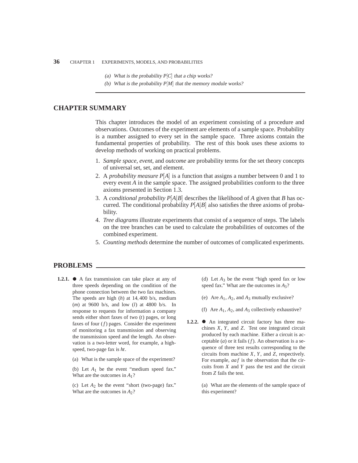- (a) What is the probability  $P[C]$  that a chip works?
- (b) What is the probability  $P[M]$  that the memory module works?

## **CHAPTER SUMMARY**

This chapter introduces the model of an experiment consisting of a procedure and observations. Outcomes of the experiment are elements of a sample space. Probability is a number assigned to every set in the sample space. Three axioms contain the fundamental properties of probability. The rest of this book uses these axioms to develop methods of working on practical problems.

- 1. *Sample space*, *event*, and *outcome* are probability terms for the set theory concepts of universal set, set, and element.
- 2. A *probability measure*  $P[A]$  is a function that assigns a number between 0 and 1 to every event *A* in the sample space. The assigned probabilities conform to the three axioms presented in Section 1.3.
- 3. A *conditional probability PA*j*B* describes the likelihood of *A* given that *B* has occurred. The conditional probability  $P[A|B]$  also satisfies the three axioms of probability.
- 4. *Tree diagrams* illustrate experiments that consist of a sequence of steps. The labels on the tree branches can be used to calculate the probabilities of outcomes of the combined experiment.
- 5. *Counting methods* determine the number of outcomes of complicated experiments.

## **PROBLEMS**

- 1.2.1.  $\bullet$  A fax transmission can take place at any of three speeds depending on the condition of the phone connection between the two fax machines. The speeds are high (*h*) at 14,400 b/s, medium (*m*) at 9600 b/s, and low (*l*) at 4800 b/s. In response to requests for information a company sends either short faxes of two (*t*) pages, or long faxes of four (*f*) pages. Consider the experiment of monitoring a fax transmission and observing the transmission speed and the length. An observation is a two-letter word, for example, a highspeed, two-page fax is *ht*.
	- (a) What is the sample space of the experiment?

(b) Let  $A_1$  be the event "medium speed fax." What are the outcomes in *A*1?

(c) Let  $A_2$  be the event "short (two-page) fax." What are the outcomes in  $A_2$ ?

(d) Let  $A_3$  be the event "high speed fax or low speed fax." What are the outcomes in *A*3?

- (e) Are  $A_1$ ,  $A_2$ , and  $A_3$  mutually exclusive?
- (f) Are  $A_1$ ,  $A_2$ , and  $A_3$  collectively exhaustive?
- 1.2.2.  $\bullet$  An integrated circuit factory has three machines *X*, *Y*, and *Z*. Test one integrated circuit produced by each machine. Either a circuit is acceptable (*a*) or it fails (*f*). An observation is a sequence of three test results corresponding to the circuits from machine *X*, *Y*, and *Z*, respectively. For example, *aaf* is the observation that the circuits from *X* and *Y* pass the test and the circuit from *Z* fails the test.

(a) What are the elements of the sample space of this experiment?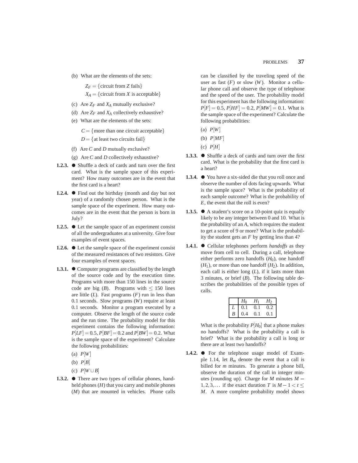(b) What are the elements of the sets:

 $Z_F = \{$  circuit from *Z* fails $\}$ 

 $X_A = \{$ circuit from *X* is acceptable $\}$ 

- (c) Are  $Z_F$  and  $X_A$  mutually exclusive?
- (d) Are  $Z_F$  and  $X_A$  collectively exhaustive?
- (e) What are the elements of the sets:

 $C = \{$  more than one circuit acceptable  $\}$ 

 $D = \{$ at least two circuits fail $\}$ 

- (f) Are *C* and *D* mutually exclusive?
- (g) Are *C* and *D* collectively exhaustive?
- **1.2.3. Shuffle a deck of cards and turn over the first** card. What is the sample space of this experiment? How many outcomes are in the event that the first card is a heart?
- **1.2.4. Find out the birthday (month and day but not** year) of a randomly chosen person. What is the sample space of the experiment. How many outcomes are in the event that the person is born in July?
- **1.2.5. ●** Let the sample space of an experiment consist of all the undergraduates at a university. Give four examples of event spaces.
- **1.2.6. ●** Let the sample space of the experiment consist of the measured resistances of two resistors. Give four examples of event spaces.
- 1.3.1.  $\bullet$  Computer programs are classified by the length of the source code and by the execution time. Programs with more than 150 lines in the source code are big  $(B)$ . Programs with  $\leq 150$  lines are little  $(L)$ . Fast programs  $(F)$  run in less than 01 seconds. Slow programs (*W*) require at least 01 seconds. Monitor a program executed by a computer. Observe the length of the source code and the run time. The probability model for this experiment contains the following information:  $P[LF] = 0.5, P[BF] = 0.2$  and  $P[BW] = 0.2$ . What is the sample space of the experiment? Calculate the following probabilities:
	- (a) *PW*
	- (b) *PB*
	- (c)  $P[W \cup B]$
- 1.3.2.  $\bullet$  There are two types of cellular phones, handheld phones (*H*) that you carry and mobile phones (*M*) that are mounted in vehicles. Phone calls

can be classified by the traveling speed of the user as fast  $(F)$  or slow  $(W)$ . Monitor a cellular phone call and observe the type of telephone and the speed of the user. The probability model for this experiment has the following information:  $P[F] = 0.5$ ,  $P[HF] = 0.2$ ,  $P[MW] = 0.1$ . What is the sample space of the experiment? Calculate the following probabilities:

- (a)  $P[W]$
- (b) *PMF*
- (c) *PH*
- **1.3.3.** Shuffle a deck of cards and turn over the first card. What is the probability that the first card is a heart?
- **1.3.4.** You have a six-sided die that you roll once and observe the number of dots facing upwards. What is the sample space? What is the probability of each sample outcome? What is the probability of *E*, the event that the roll is even?
- **1.3.5.** A student's score on a 10-point quiz is equally likely to be any integer between 0 and 10. What is the probability of an *A*, which requires the student to get a score of 9 or more? What is the probability the student gets an *F* by getting less than 4?
- **1.4.1. Cellular telephones perform** *handoffs* as they move from cell to cell. During a call, telephone either performs zero handoffs  $(H_0)$ , one handoff  $(H_1)$ , or more than one handoff  $(H_2)$ . In addition, each call is either long (*L*), if it lasts more than 3 minutes, or brief (*B*). The following table describes the probabilities of the possible types of calls.

|                | $H_0$ | $H_1$ | H2       |
|----------------|-------|-------|----------|
|                | 0.1   | 0.1   | 0.2      |
| $\overline{B}$ | 0.4   | 0.1   | $($ ). 1 |

What is the probability  $P[H_0]$  that a phone makes no handoffs? What is the probability a call is brief? What is the probability a call is long or there are at least two handoffs?

1.4.2. • For the telephone usage model of Example 1.14, let  $B_m$  denote the event that a call is billed for *m* minutes. To generate a phone bill, observe the duration of the call in integer minutes (rounding up). Charge for  $M$  minutes  $M =$ 1, 2, 3,  $\ldots$  if the exact duration *T* is  $M - 1 < t \le$ *M*. A more complete probability model shows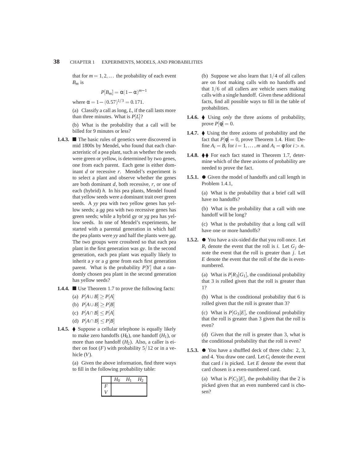that for  $m = 1, 2, \dots$  the probability of each event *Bm* is

$$
P[B_m] = \alpha (1 - \alpha)^{m-1}
$$

where  $\alpha = 1 - (0.57)^{1/3} = 0.171$ .

(a) Classify a call as long, *L*, if the call lasts more than three minutes. What is *PL*?

(b) What is the probability that a call will be billed for 9 minutes or less?

- **1.4.3. ■** The basic rules of genetics were discovered in mid 1800s by Mendel, who found that each characteristic of a pea plant, such as whether the seeds were green or yellow, is determined by two genes, one from each parent. Each gene is either dominant *d* or recessive *r*. Mendel's experiment is to select a plant and observe whether the genes are both dominant *d*, both recessive, *r*, or one of each (hybrid) *h*. In his pea plants, Mendel found that yellow seeds were a dominant trait over green seeds. A *yy* pea with two yellow genes has yellow seeds; a *gg* pea with two recessive genes has green seeds; while a hybrid *gy* or *yg* pea has yellow seeds. In one of Mendel's experiments, he started with a parental generation in which half the pea plants were *yy* and half the plants were *gg*. The two groups were crossbred so that each pea plant in the first generation was *gy*. In the second generation, each pea plant was equally likely to inherit a *y* or a *g* gene from each first generation parent. What is the probability  $P[Y]$  that a randomly chosen pea plant in the second generation has yellow seeds?
- **1.4.4.** Use Theorem 1.7 to prove the following facts:
	- (a)  $P[A \cup B] \geq P[A]$
	- (b)  $P[A \cup B] \geq P[B]$
	- (c)  $P[A \cap B] < P[A]$
	- (d)  $P[A \cap B] \leq P[B]$
- **1.4.5. ♦ Suppose a cellular telephone is equally likely** to make zero handoffs  $(H_0)$ , one handoff  $(H_1)$ , or more than one handoff  $(H_2)$ . Also, a caller is either on foot  $(F)$  with probability  $5/12$  or in a vehicle (*V*).

(a) Given the above information, find three ways to fill in the following probability table:



(b) Suppose we also learn that  $1/4$  of all callers are on foot making calls with no handoffs and that  $1/6$  of all callers are vehicle users making calls with a single handoff. Given these additional facts, find all possible ways to fill in the table of probabilities.

- **1.4.6. ♦** Using *only* the three axioms of probability, prove  $P[\phi] = 0$ .
- **1.4.7. ♦** Using the three axioms of probability and the fact that  $P[\phi] = 0$ , prove Theorem 1.4. Hint: Define  $A_i = B_i$  for  $i = 1, ..., m$  and  $A_i = \phi$  for  $i > n$ .
- 1.4.8.  $\blacklozenge \blacklozenge$  For each fact stated in Theorem 1.7, determine which of the three axioms of probability are needed to prove the fact.
- **1.5.1.** Given the model of handoffs and call length in Problem 1.4.1,

(a) What is the probability that a brief call will have no handoffs?

(b) What is the probability that a call with one handoff will be long?

(c) What is the probability that a long call will have one or more handoffs?

**1.5.2.** ● You have a six-sided die that you roll once. Let  $R_i$  denote the event that the roll is *i*. Let  $G_i$  denote the event that the roll is greater than *j*. Let *E* denote the event that the roll of the die is evennumbered.

> (a) What is  $P[R_3|G_1]$ , the conditional probability that 3 is rolled given that the roll is greater than 1?

> (b) What is the conditional probability that 6 is rolled given that the roll is greater than 3?

> (c) What is  $P[G_3|E]$ , the conditional probability that the roll is greater than 3 given that the roll is even?

> (d) Given that the roll is greater than 3, what is the conditional probability that the roll is even?

**1.5.3. ●** You have a shuffled deck of three clubs: 2, 3, and 4. You draw one card. Let*Ci* denote the event that card  $i$  is picked. Let  $E$  denote the event that card chosen is a even-numbered card.

> (a) What is  $P[C_2|E]$ , the probability that the 2 is picked given that an even numbered card is chosen?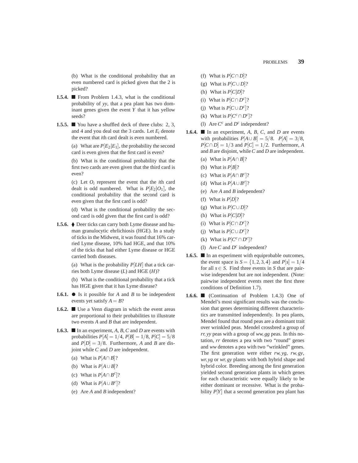(b) What is the conditional probability that an even numbered card is picked given that the 2 is picked?

- **1.5.4.** From Problem 1.4.3, what is the conditional probability of *yy*, that a pea plant has two dominant genes given the event *Y* that it has yellow seeds?
- 1.5.5. You have a shuffled deck of three clubs: 2, 3, and 4 and you deal out the 3 cards. Let *Ei* denote the event that *i*th card dealt is even numbered.
	- (a) What are  $P[E_2|E_1]$ , the probability the second card is even given that the first card is even?

(b) What is the conditional probability that the first two cards are even given that the third card is even?

(c) Let *Oi* represent the event that the *i*th card dealt is odd numbered. What is  $P[E_2]O_1$ , the conditional probability that the second card is even given that the first card is odd?

(d) What is the conditional probability the second card is odd given that the first card is odd?

**1.5.6.** ♦ Deer ticks can carry both Lyme disease and human granulocytic ehrlichiosis (HGE). In a study of ticks in the Midwest, it was found that 16% carried Lyme disease, 10% had HGE, and that 10% of the ticks that had either Lyme disease or HGE carried both diseases.

> (a) What is the probability  $P[CH]$  that a tick carries both Lyme disease (*L*) and HGE (*H*)?

> (b) What is the conditional probability that a tick has HGE given that it has Lyme disease?

- **1.6.1. ●** Is it possible for *A* and *B* to be independent events yet satisfy  $A = B$ ?
- 1.6.2. Use a Venn diagram in which the event areas are proportional to their probabilities to illustrate two events *A* and *B* that are independent.
- **1.6.3.** In an experiment, *A*, *B*,*C* and *D* are events with probabilities  $P[A] = 1/4$ ,  $P[B] = 1/8$ ,  $P[C] = 5/8$ and  $P[D] = 3/8$ . Furthermore, *A* and *B* are disjoint while *C* and *D* are independent.
	- (a) What is  $P[A \cap B]$ ?
	- (b) What is  $P[A \cup B]$ ?
	- (c) What is  $P[A \cap B^c]$ ?
	- (d) What is  $P[A \cup B^c]$ ?
	- (e) Are *A* and *B* independent?
- (f) What is  $P[C \cap D]$ ?
- (g) What is  $P[C \cup D]$ ?
- (h) What is  $P[C|D]$ ?
- (i) What is  $P[C \cap D^c]$ ?
- (j) What is  $P[C \cup D^c]$ ?
- (k) What is  $P[C^c \cap D^c]$ ?
- (1) Are  $C^c$  and  $D^c$  independent?
- **1.6.4.**  $\blacksquare$  In an experiment, *A*, *B*, *C*, and *D* are events with probabilities  $P[A \cup B] = 5/8$ .  $P[A] = 3/8$ ,  $P[C \cap D] = 1/3$  and  $P[C] = 1/2$ . Furthermore, *A* and *B* are disjoint, while*C* and *D* are independent.
	- (a) What is  $P[A \cap B]$ ?
	- (b) What is  $P[B]$ ?
	- (c) What is  $P[A \cap B^c]$ ?
	- (d) What is  $P[A \cup B^c]$ ?
	- (e) Are *A* and *B* independent?
	- (f) What is  $P[D]$ ?
	- (g) What is  $P[C \cup D]$ ?
	- (h) What is  $P[C|D]$ ?
	- (i) What is  $P[C \cap D^c]$ ?
	- (j) What is  $P[C \cup D^c]$ ?
	- (k) What is  $P[C^c \cap D^c]$ ?
	- (1) Are  $C$  and  $D^c$  independent?
- **1.6.5.** In an experiment with equiprobable outcomes, the event space is  $S = \{1, 2, 3, 4\}$  and  $P[s] = 1/4$ for all  $s \in S$ . Find three events in *S* that are pairwise independent but are not independent. (Note: pairwise independent events meet the first three conditions of Definition 1.7).
- **1.6.6.** (Continuation of Problem 1.4.3) One of Mendel's most significant results was the conclusion that genes determining different characteristics are transmitted independently. In pea plants, Mendel found that round peas are a dominant trait over wrinkled peas. Mendel crossbred a group of *rr yy* peas with a group of *ww gg* peas. In this notation, *rr* denotes a pea with two "round" genes and *ww* denotes a pea with two "wrinkled" genes. The first generation were either *rw yg*, *rw gy*, *wr yg* or *wr gy* plants with both hybrid shape and hybrid color. Breeding among the first generation yielded second generation plants in which genes for each characteristic were equally likely to be either dominant or recessive. What is the probability  $P[Y]$  that a second generation pea plant has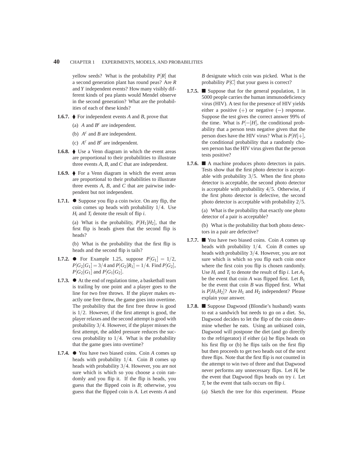yellow seeds? What is the probability  $P[R]$  that a second generation plant has round peas? Are *R* and *Y* independent events? How many visibly different kinds of pea plants would Mendel observe in the second generation? What are the probabilities of each of these kinds?

- **1.6.7. ♦ For independent events** *A* and *B*, prove that
	- (a) *A* and  $B^c$  are independent.
	- (b) *A<sup>c</sup>* and *B* are independent.
	- (c)  $A^c$  and  $B^c$  are independent.
- **1.6.8. ♦** Use a Venn diagram in which the event areas are proportional to their probabilities to illustrate three events *A*, *B*, and *C* that are independent.
- **1.6.9. ♦** For a Venn diagram in which the event areas are proportional to their probabilities to illustrate three events *A*, *B*, and *C* that are pairwise independent but not independent.
- **1.7.1. Suppose you flip a coin twice. On any flip, the** coin comes up heads with probability  $1/4$ . Use  $H_i$  and  $T_i$  denote the result of flip *i*.

(a) What is the probability,  $P[H_1|H_2]$ , that the first flip is heads given that the second flip is heads?

(b) What is the probability that the first flip is heads and the second flip is tails?

- **1.7.2.** For Example 1.25, suppose  $P[G_1] = 1/2$ ,  $P[G_2|G_1] = 3/4$  and  $P[G_2|R_1] = 1/4$ . Find  $P[G_2]$ ,  $P[G_2|G_1]$  and  $P[G_1|G_2]$ .
- **1.7.3. ●** At the end of regulation time, a basketball team is trailing by one point and a player goes to the line for two free throws. If the player makes exactly one free throw, the game goes into overtime. The probability that the first free throw is good is  $1/2$ . However, if the first attempt is good, the player relaxes and the second attempt is good with probability  $3/4$ . However, if the player misses the first attempt, the added pressure reduces the success probability to  $1/4$ . What is the probability that the game goes into overtime?
- **1.7.4. You have two biased coins. Coin** *A* **comes up** heads with probability  $1/4$ . Coin *B* comes up heads with probability  $3/4$ . However, you are not sure which is which so you choose a coin randomly and you flip it. If the flip is heads, you guess that the flipped coin is *B*; otherwise, you guess that the flipped coin is *A*. Let events *A* and

*B* designate which coin was picked. What is the probability  $P[C]$  that your guess is correct?

- **1.7.5.** Suppose that for the general population, 1 in 5000 people carries the human immunodeficiency virus (HIV). A test for the presence of HIV yields either a positive  $(+)$  or negative  $(-)$  response. Suppose the test gives the correct answer 99% of the time. What is  $P[-|H]$ , the conditional probability that a person tests negative given that the person does have the HIV virus? What is  $P[H] +$ , the conditional probability that a randomly chosen person has the HIV virus given that the person tests positive?
- **1.7.6. ■** A machine produces photo detectors in pairs. Tests show that the first photo detector is acceptable with probability  $3/5$ . When the first photo detector is acceptable, the second photo detector is acceptable with probability  $4/5$ . Otherwise, if the first photo detector is defective, the second photo detector is acceptable with probability  $2/5$ .

(a) What is the probability that exactly one photo detector of a pair is acceptable?

(b) What is the probability that both photo detectors in a pair are defective?

- **1.7.7. ■** You have two biased coins. Coin *A* comes up heads with probability  $1/4$ . Coin *B* comes up heads with probability  $3/4$ . However, you are not sure which is which so you flip each coin once where the first coin you flip is chosen randomly. Use  $H_i$  and  $T_i$  to denote the result of flip *i*. Let  $A_1$ be the event that coin *A* was flipped first. Let  $B_1$ be the event that coin *B* was flipped first. What is  $P[H_1H_2]$ ? Are  $H_1$  and  $H_2$  independent? Please explain your answer.
- **1.7.8. Suppose Dagwood (Blondie's husband) wants** to eat a sandwich but needs to go on a diet. So, Dagwood decides to let the flip of the coin determine whether he eats. Using an unbiased coin, Dagwood will postpone the diet (and go directly to the refrigerator) if either (a) he flips heads on his first flip or (b) he flips tails on the first flip but then proceeds to get two heads out of the next three flips. Note that the first flip is *not* counted in the attempt to win two of three and that Dagwood never performs any unnecessary flips. Let *Hi* be the event that Dagwood flips heads on try *i*. Let *Ti* be the event that tails occurs on flip *i*.
	- (a) Sketch the tree for this experiment. Please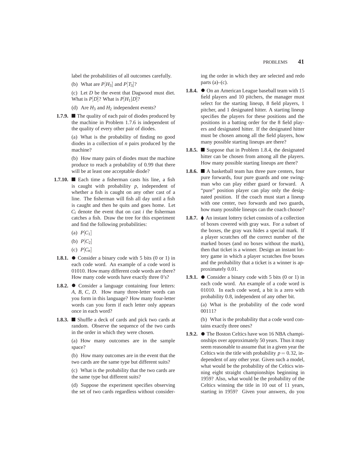label the probabilities of all outcomes carefully.

(b) What are  $P[H_3]$  and  $P[T_3]$ ?

(c) Let *D* be the event that Dagwood must diet. What is  $P[D]$ ? What is  $P[H_1|D]$ ?

- (d) Are  $H_3$  and  $H_2$  independent events?
- **1.7.9.** The quality of each pair of diodes produced by the machine in Problem 1.7.6 is independent of the quality of every other pair of diodes.

(a) What is the probability of finding no good diodes in a collection of *n* pairs produced by the machine?

(b) How many pairs of diodes must the machine produce to reach a probability of 0.99 that there will be at least one acceptable diode?

- **1.7.10.** Each time a fisherman casts his line, a fish is caught with probability *p*, independent of whether a fish is caught on any other cast of a line. The fisherman will fish all day until a fish is caught and then he quits and goes home. Let  $C_i$  denote the event that on cast  $i$  the fisherman catches a fish. Draw the tree for this experiment and find the following probabilities:
	- (a)  $P[C_1]$
	- (b)  $P[C_2]$
	- (c)  $P[C_n]$
- **1.8.1. Consider a binary code with 5 bits (0 or 1) in** each code word. An example of a code word is 01010. How many different code words are there? How many code words have exactly three 0's?
- **1.8.2. ●** Consider a language containing four letters: *A*, *B*, *C*, *D*. How many three-letter words can you form in this language? How many four-letter words can you form if each letter only appears once in each word?
- 1.8.3. Shuffle a deck of cards and pick two cards at random. Observe the sequence of the two cards in the order in which they were chosen.

(a) How many outcomes are in the sample space?

(b) How many outcomes are in the event that the two cards are the same type but different suits?

(c) What is the probability that the two cards are the same type but different suits?

(d) Suppose the experiment specifies observing the set of two cards regardless without considering the order in which they are selected and redo parts  $(a)$ – $(c)$ .

- **1.8.4. On an American League baseball team with 15** field players and 10 pitchers, the manager must select for the starting lineup, 8 field players, 1 pitcher, and 1 designated hitter. A starting lineup specifies the players for these positions and the positions in a batting order for the 8 field players and designated hitter. If the designated hitter must be chosen among all the field players, how many possible starting lineups are there?
- **1.8.5. ■** Suppose that in Problem 1.8.4, the designated hitter can be chosen from among all the players. How many possible starting lineups are there?
- 1.8.6.  $\blacksquare$  A basketball team has three pure centers, four pure forwards, four pure guards and one swingman who can play either guard or forward. A "pure" position player can play only the designated position. If the coach must start a lineup with one center, two forwards and two guards, how many possible lineups can the coach choose?
- **1.8.7.** ♦ An instant lottery ticket consists of a collection of boxes covered with gray wax. For a subset of the boxes, the gray wax hides a special mark. If a player scratches off the correct number of the marked boxes (and no boxes without the mark), then that ticket is a winner. Design an instant lottery game in which a player scratches five boxes and the probability that a ticket is a winner is approximately 0.01.
- **1.9.1.**  $\bullet$  Consider a binary code with 5 bits (0 or 1) in each code word. An example of a code word is 01010. In each code word, a bit is a zero with probability 0.8, independent of any other bit.

(a) What is the probability of the code word 00111?

(b) What is the probability that a code word contains exactly three ones?

**1.9.2. ● The Boston Celtics have won 16 NBA champi**onships over approximately 50 years. Thus it may seem reasonable to assume that in a given year the Celtics win the title with probability  $p = 0.32$ , independent of any other year. Given such a model, what would be the probability of the Celtics winning eight straight championships beginning in 1959? Also, what would be the probability of the Celtics winning the title in 10 out of 11 years, starting in 1959? Given your answers, do you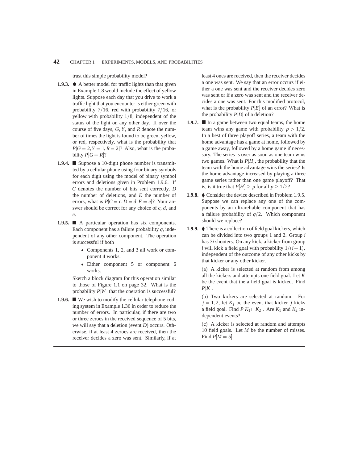#### **42** CHAPTER 1 EXPERIMENTS, MODELS, AND PROBABILITIES

trust this simple probability model?

- **1.9.3. ●** A better model for traffic lights than that given in Example 1.8 would include the effect of yellow lights. Suppose each day that you drive to work a traffic light that you encounter is either green with probability  $7/16$ , red with probability  $7/16$ , or yellow with probability  $1/8$ , independent of the status of the light on any other day. If over the course of five days, *G*, *Y*, and *R* denote the number of times the light is found to be green, yellow, or red, respectively, what is the probability that  $P[G = 2, Y = 1, R = 2]$ ? Also, what is the probability  $P[G = R]$ ?
- **1.9.4.** Suppose a 10-digit phone number is transmitted by a cellular phone using four binary symbols for each digit using the model of binary symbol errors and deletions given in Problem 1.9.6. If *C* denotes the number of bits sent correctly, *D* the number of deletions, and *E* the number of errors, what is  $P[C = c, D = d, E = e]$ ? Your answer should be correct for any choice of *c*, *d*, and *e*.
- 1.9.5. A particular operation has six components. Each component has a failure probability *q*, independent of any other component. The operation is successful if both
	- Components 1, 2, and 3 all work or component 4 works.
	- Either component 5 or component 6 works.

Sketch a block diagram for this operation similar to those of Figure 1.1 on page 32. What is the probability  $P[W]$  that the operation is successful?

1.9.6. We wish to modify the cellular telephone coding system in Example 1.36 in order to reduce the number of errors. In particular, if there are two or three zeroes in the received sequence of 5 bits, we will say that a deletion (event *D*) occurs. Otherwise, if at least 4 zeroes are received, then the receiver decides a zero was sent. Similarly, if at

least 4 ones are received, then the receiver decides a one was sent. We say that an error occurs if either a one was sent and the receiver decides zero was sent or if a zero was sent and the receiver decides a one was sent. For this modified protocol, what is the probability  $P[E]$  of an error? What is the probability  $P[D]$  of a deletion?

- **1.9.7. In a game between two equal teams, the home** team wins any game with probability  $p > 1/2$ . In a best of three playoff series, a team with the home advantage has a game at home, followed by a game away, followed by a home game if necessary. The series is over as soon as one team wins two games. What is  $P[H]$ , the probability that the team with the home advantage wins the series? Is the home advantage increased by playing a three game series rather than one game playoff? That is, is it true that  $P[H] \geq p$  for all  $p \geq 1/2$ ?
- **1.9.8. ♦ Consider the device described in Problem 1.9.5.** Suppose we can replace any one of the components by an ultrareliable component that has a failure probability of  $q/2$ . Which component should we replace?
- **1.9.9. ♦** There is a collection of field goal kickers, which can be divided into two groups 1 and 2. Group *i* has 3*i* shooters. On any kick, a kicker from group *i* will kick a field goal with probability  $1/(i+1)$ , independent of the outcome of any other kicks by that kicker or any other kicker.

(a) A kicker is selected at random from among all the kickers and attempts one field goal. Let *K* be the event that the a field goal is kicked. Find  $P[K]$ .

(b) Two kickers are selected at random. For  $j = 1, 2$ , let  $K_j$  be the event that kicker *j* kicks a field goal. Find  $P[K_1 \cap K_2]$ . Are  $K_1$  and  $K_2$  independent events?

(c) A kicker is selected at random and attempts 10 field goals. Let *M* be the number of misses. Find  $P[M=5]$ .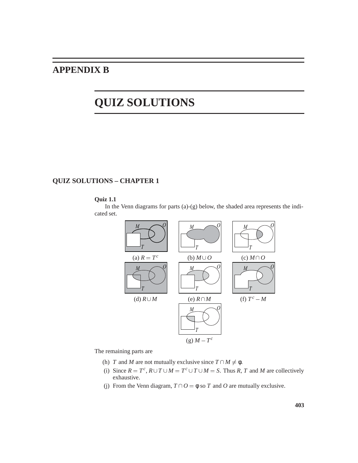## **APPENDIX B**

# **QUIZ SOLUTIONS**

## **QUIZ SOLUTIONS – CHAPTER 1**

## **Quiz 1.1**

In the Venn diagrams for parts (a)-(g) below, the shaded area represents the indicated set.



The remaining parts are

- (h) *T* and *M* are not mutually exclusive since  $T \cap M \neq \emptyset$ .
- (i) Since  $R = T^c$ ,  $R \cup T \cup M = T^c \cup T \cup M = S$ . Thus *R*, *T* and *M* are collectively exhaustive.
- (j) From the Venn diagram,  $T \cap O = \phi$  so *T* and *O* are mutually exclusive.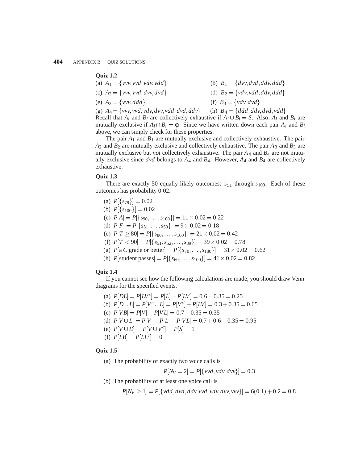### **Quiz 1.2**

| (a) $A_1 = \{ vvv, vvd, vdv, vdd \}$              | (b) $B_1 = \{dvv, dvd, ddv, ddd\}$ |
|---------------------------------------------------|------------------------------------|
| (c) $A_2 = \{vvv, vvd, dvv, dvd\}$                | (d) $B_2 = \{vdv, vdd, ddv, ddd\}$ |
| (e) $A_3 = \{vvv, ddd\}$                          | (f) $B_3 = \{vdv, dv\}$            |
| (g) $A_4 = \{vvv, vvd, vdv, dvv, vdd, dvd, ddv\}$ | (h) $B_4 = \{ddd, ddv, dvd, vdd\}$ |

Recall that  $A_i$  and  $B_i$  are collectively exhaustive if  $A_i \cup B_i = S$ . Also,  $A_i$  and  $B_i$  are mutually exclusive if  $A_i \cap B_i = \emptyset$ . Since we have written down each pair  $A_i$  and  $B_i$ above, we can simply check for these properties.

The pair  $A_1$  and  $B_1$  are mutually exclusive and collectively exhaustive. The pair  $A_2$  and  $B_2$  are mutually exclusive and collectively exhaustive. The pair  $A_3$  and  $B_3$  are mutually exclusive but *not* collectively exhaustive. The pair *A*<sup>4</sup> and *B*<sup>4</sup> are not mutually exclusive since  $dvd$  belongs to  $A_4$  and  $B_4$ . However,  $A_4$  and  $B_4$  are collectively exhaustive.

### **Quiz 1.3**

There are exactly 50 equally likely outcomes:  $s_{51}$  through  $s_{100}$ . Each of these outcomes has probability 0.02.

- (a)  $P[{s_{79}}] = 0.02$
- (b)  $P[{s_{100}}] = 0.02$
- (c)  $P[A] = P[{s_{90}, \ldots, s_{100}}] = 11 \times 0.02 = 0.22$
- (d)  $P[F] = P[{s_{51}, \ldots, s_{59}}] = 9 \times 0.02 = 0.18$
- (e)  $P[T \ge 80] = P[{s_{80}, \ldots, s_{100}}] = 21 \times 0.02 = 0.42$
- (f)  $P[T < 90] = P[\{s_{51}, s_{52}, \ldots, s_{89}\}] = 39 \times 0.02 = 0.78$
- (g) *P*[ $a \, C$  grade or better] =  $P[\{s_{70}, \ldots, s_{100}\}] = 31 \times 0.02 = 0.62$
- (h) *P*[student passes]  $= P[{s_{60}, \ldots, s_{100}}] = 41 \times 0.02 = 0.82$

#### **Quiz 1.4**

If you cannot see how the following calculations are made, you should draw Venn diagrams for the specified events.

- (a)  $P[DL] = P[LV^c] = P[L] P[LV] = 0.6 0.35 = 0.25$
- (b)  $P[D \cup L] = P[V^c \cup L] = P[V^c] + P[LV] = 0.3 + 0.35 = 0.65$
- (c)  $P[VB] = P[V] P[VL] = 0.7 0.35 = 0.35$
- (d)  $P[V \cup L] = P[V] + P[L] P[VL] = 0.7 + 0.6 0.35 = 0.95$
- (e)  $P[V \cup D] = P[V \cup V^c] = P[S] = 1$
- (f)  $P[LB] = P[LL^c] = 0$

## **Quiz 1.5**

(a) The probability of exactly two voice calls is

$$
P[N_V = 2] = P[\{vvd, vdv, dvv\}] = 0.3
$$

(b) The probability of at least one voice call is

 $P[N_V \ge 1] = P[\{vdd, dvdd, ddv, vvd, vdv, dvv, vvv\}] = 6(0.1) + 0.2 = 0.8$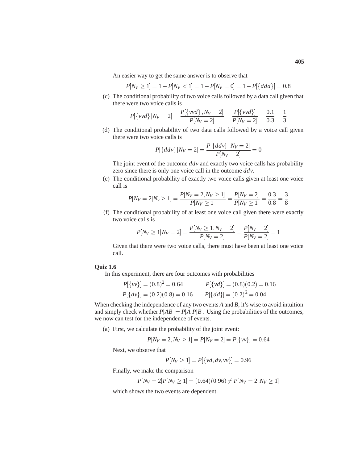An easier way to get the same answer is to observe that

$$
P[N_V \ge 1] = 1 - P[N_V < 1] = 1 - P[N_V = 0] = 1 - P[\{ddd\}] = 0.8
$$

(c) The conditional probability of two voice calls followed by a data call given that there were two voice calls is

$$
P[\{vvd\}|N_V=2]=\frac{P[\{vvd\},N_V=2]}{P[N_V=2]}=\frac{P[\{vvd\}]}{P[N_V=2]}=\frac{0.1}{0.3}=\frac{1}{3}
$$

(d) The conditional probability of two data calls followed by a voice call given there were two voice calls is

$$
P[\{ddv\}|N_V=2] = \frac{P[\{ddv\},N_V=2]}{P[N_V=2]} = 0
$$

The joint event of the outcome *ddv* and exactly two voice calls has probability zero since there is only one voice call in the outcome *ddv*.

(e) The conditional probability of exactly two voice calls given at least one voice call is

$$
P[N_V = 2 | N_V \ge 1] = \frac{P[N_V = 2, N_V \ge 1]}{P[N_V \ge 1]} = \frac{P[N_V = 2]}{P[N_V \ge 1]} = \frac{0.3}{0.8} = \frac{3}{8}
$$

(f) The conditional probability of at least one voice call given there were exactly two voice calls is

$$
P[N_V \ge 1 | N_V = 2] = \frac{P[N_V \ge 1, N_V = 2]}{P[N_V = 2]} = \frac{P[N_V = 2]}{P[N_V = 2]} = 1
$$

Given that there were two voice calls, there must have been at least one voice call.

#### **Quiz 1.6**

In this experiment, there are four outcomes with probabilities

$$
P[\{vv\}] = (0.8)^2 = 0.64
$$
  
\n
$$
P[\{vd\}] = (0.8)(0.2) = 0.16
$$
  
\n
$$
P[\{dv\}] = (0.2)(0.8) = 0.16
$$
  
\n
$$
P[\{dd\}] = (0.2)^2 = 0.04
$$

When checking the independence of any two events *A* and *B*, it's wise to avoid intuition and simply check whether  $P[AB] = P[A]P[B]$ . Using the probabilities of the outcomes, we now can test for the independence of events.

(a) First, we calculate the probability of the joint event:

$$
P[N_V = 2, N_V \ge 1] = P[N_V = 2] = P[\{vv\}] = 0.64
$$

Next, we observe that

$$
P[N_V \ge 1] = P[\{vd, dv, vv\}] = 0.96
$$

Finally, we make the comparison

$$
P[N_V = 2]P[N_V \ge 1] = (0.64)(0.96) \ne P[N_V = 2, N_V \ge 1]
$$

which shows the two events are dependent.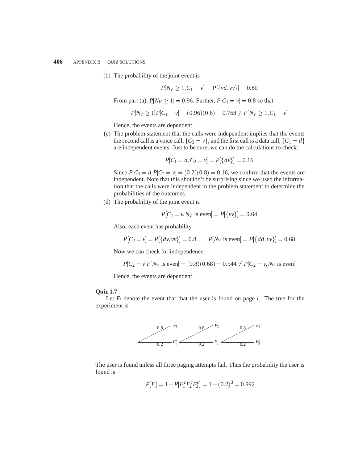(b) The probability of the joint event is

$$
P[N_V \ge 1, C_1 = v] = P[\{vd, vv\}] = 0.80
$$

From part (a),  $P[N_V \ge 1] = 0.96$ . Further,  $P[C_1 = v] = 0.8$  so that

$$
P[N_V \ge 1]P[C_1 = v] = (0.96)(0.8) = 0.768 \ne P[N_V \ge 1, C_1 = v]
$$

Hence, the events are dependent.

(c) The problem statement that the calls were independent implies that the events the second call is a voice call,  $\{C_2 = v\}$ , and the first call is a data call,  $\{C_1 = d\}$ are independent events. Just to be sure, we can do the calculations to check:

$$
P[C_1 = d, C_2 = v] = P[{dv}] = 0.16
$$

Since  $P[C_1 = d]P[C_2 = v] = (0.2)(0.8) = 0.16$ , we confirm that the events are independent. Note that this shouldn't be surprising since we used the information that the calls were independent in the problem statement to determine the probabilities of the outcomes.

(d) The probability of the joint event is

$$
P[C_2 = v, N_V \text{ is even}] = P[{vv}] = 0.64
$$

Also, each event has probability

$$
P[C_2 = v] = P[{dv, vv}] = 0.8 \qquad P[N_V \text{ is even}] = P[{dd, vv}] = 0.68
$$

Now we can check for independence:

$$
P[C_2 = v]P[N_V \text{ is even}] = (0.8)(0.68) = 0.544 \neq P[C_2 = v, N_V \text{ is even}]
$$

Hence, the events are dependent.

#### **Quiz 1.7**

Let  $F_i$  denote the event that that the user is found on page  $i$ . The tree for the experiment is



The user is found unless all three paging attempts fail. Thus the probability the user is found is

$$
P[F] = 1 - P[F_1^c F_2^c F_3^c] = 1 - (0.2)^3 = 0.992
$$